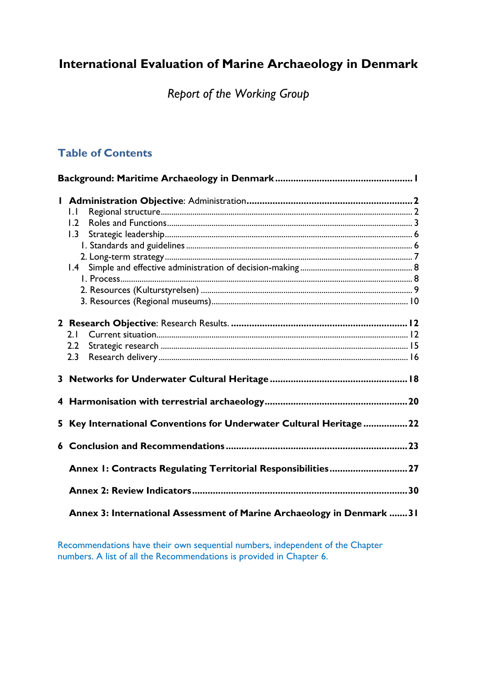# **International Evaluation of Marine Archaeology in Denmark**

*Report of the Working Group*

# **Table of Contents**

|    | $\mathsf{L}$                                                           |  |
|----|------------------------------------------------------------------------|--|
|    | 1.2                                                                    |  |
|    | 1.3                                                                    |  |
|    |                                                                        |  |
|    |                                                                        |  |
|    |                                                                        |  |
|    |                                                                        |  |
|    |                                                                        |  |
|    |                                                                        |  |
|    |                                                                        |  |
|    |                                                                        |  |
|    | 2.1                                                                    |  |
|    | 2.2                                                                    |  |
|    | 2.3                                                                    |  |
|    |                                                                        |  |
|    |                                                                        |  |
|    |                                                                        |  |
|    |                                                                        |  |
| 5. | Key International Conventions for Underwater Cultural Heritage 22      |  |
|    |                                                                        |  |
|    |                                                                        |  |
|    | Annex I: Contracts Regulating Territorial Responsibilities27           |  |
|    |                                                                        |  |
|    | Annex 3: International Assessment of Marine Archaeology in Denmark  31 |  |
|    |                                                                        |  |

Recommendations have their own sequential numbers, independent of the Chapter numbers. A list of all the Recommendations is provided in Chapter 6.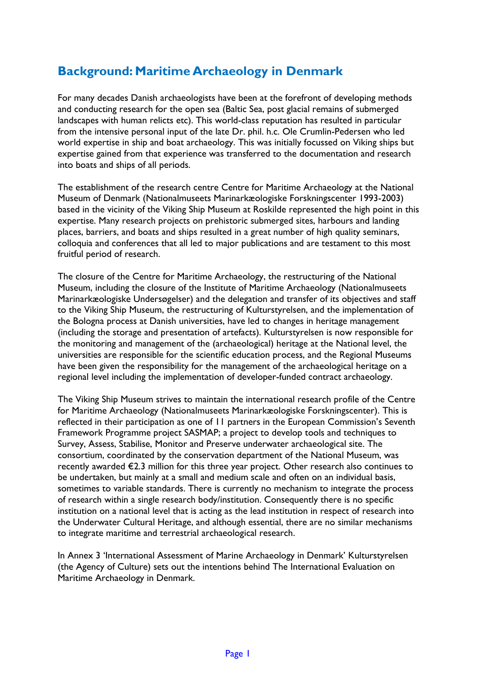# **Background: Maritime Archaeology in Denmark**

For many decades Danish archaeologists have been at the forefront of developing methods and conducting research for the open sea (Baltic Sea, post glacial remains of submerged landscapes with human relicts etc). This world-class reputation has resulted in particular from the intensive personal input of the late Dr. phil. h.c. Ole Crumlin-Pedersen who led world expertise in ship and boat archaeology. This was initially focussed on Viking ships but expertise gained from that experience was transferred to the documentation and research into boats and ships of all periods.

The establishment of the research centre Centre for Maritime Archaeology at the National Museum of Denmark (Nationalmuseets Marinarkæologiske Forskningscenter 1993-2003) based in the vicinity of the Viking Ship Museum at Roskilde represented the high point in this expertise. Many research projects on prehistoric submerged sites, harbours and landing places, barriers, and boats and ships resulted in a great number of high quality seminars, colloquia and conferences that all led to major publications and are testament to this most fruitful period of research.

The closure of the Centre for Maritime Archaeology, the restructuring of the National Museum, including the closure of the Institute of Maritime Archaeology (Nationalmuseets Marinarkæologiske Undersøgelser) and the delegation and transfer of its objectives and staff to the Viking Ship Museum, the restructuring of Kulturstyrelsen, and the implementation of the Bologna process at Danish universities, have led to changes in heritage management (including the storage and presentation of artefacts). Kulturstyrelsen is now responsible for the monitoring and management of the (archaeological) heritage at the National level, the universities are responsible for the scientific education process, and the Regional Museums have been given the responsibility for the management of the archaeological heritage on a regional level including the implementation of developer-funded contract archaeology.

The Viking Ship Museum strives to maintain the international research profile of the Centre for Maritime Archaeology (Nationalmuseets Marinarkæologiske Forskningscenter). This is reflected in their participation as one of 11 partners in the European Commission's Seventh Framework Programme project SASMAP; a project to develop tools and techniques to Survey, Assess, Stabilise, Monitor and Preserve underwater archaeological site. The consortium, coordinated by the conservation department of the National Museum, was recently awarded €2.3 million for this three year project. Other research also continues to be undertaken, but mainly at a small and medium scale and often on an individual basis, sometimes to variable standards. There is currently no mechanism to integrate the process of research within a single research body/institution. Consequently there is no specific institution on a national level that is acting as the lead institution in respect of research into the Underwater Cultural Heritage, and although essential, there are no similar mechanisms to integrate maritime and terrestrial archaeological research.

In Annex 3 'International Assessment of Marine Archaeology in Denmark' Kulturstyrelsen (the Agency of Culture) sets out the intentions behind The International Evaluation on Maritime Archaeology in Denmark.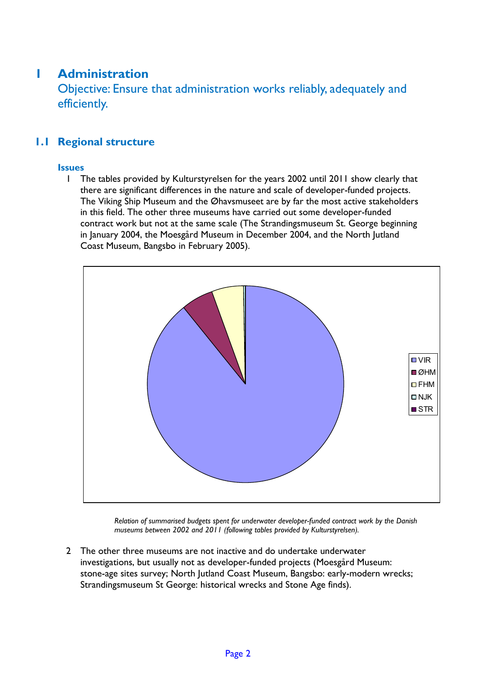# **1 Administration**

Objective: Ensure that administration works reliably, adequately and efficiently.

## **1.1 Regional structure**

## **Issues**

1 The tables provided by Kulturstyrelsen for the years 2002 until 2011 show clearly that there are significant differences in the nature and scale of developer-funded projects. The Viking Ship Museum and the Øhavsmuseet are by far the most active stakeholders in this field. The other three museums have carried out some developer-funded contract work but not at the same scale (The Strandingsmuseum St. George beginning in January 2004, the Moesgård Museum in December 2004, and the North Jutland Coast Museum, Bangsbo in February 2005).



*Relation of summarised budgets spent for underwater developer-funded contract work by the Danish museums between 2002 and 2011 (following tables provided by Kulturstyrelsen).*

2 The other three museums are not inactive and do undertake underwater investigations, but usually not as developer-funded projects (Moesgård Museum: stone-age sites survey; North Jutland Coast Museum, Bangsbo: early-modern wrecks; Strandingsmuseum St George: historical wrecks and Stone Age finds).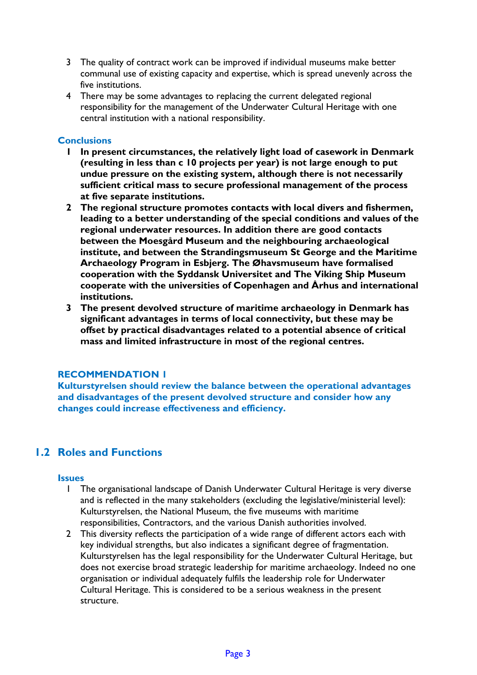- 3 The quality of contract work can be improved if individual museums make better communal use of existing capacity and expertise, which is spread unevenly across the five institutions.
- 4 There may be some advantages to replacing the current delegated regional responsibility for the management of the Underwater Cultural Heritage with one central institution with a national responsibility.

## **Conclusions**

- **1 In present circumstances, the relatively light load of casework in Denmark (resulting in less than c 10 projects per year) is not large enough to put undue pressure on the existing system, although there is not necessarily sufficient critical mass to secure professional management of the process at five separate institutions.**
- **2 The regional structure promotes contacts with local divers and fishermen, leading to a better understanding of the special conditions and values of the regional underwater resources. In addition there are good contacts between the Moesgård Museum and the neighbouring archaeological institute, and between the Strandingsmuseum St George and the Maritime Archaeology Program in Esbjerg. The Øhavsmuseum have formalised cooperation with the Syddansk Universitet and The Viking Ship Museum cooperate with the universities of Copenhagen and Århus and international institutions.**
- **3 The present devolved structure of maritime archaeology in Denmark has significant advantages in terms of local connectivity, but these may be offset by practical disadvantages related to a potential absence of critical mass and limited infrastructure in most of the regional centres.**

## **RECOMMENDATION 1**

**Kulturstyrelsen should review the balance between the operational advantages and disadvantages of the present devolved structure and consider how any changes could increase effectiveness and efficiency.**

## **1.2 Roles and Functions**

#### **Issues**

- 1 The organisational landscape of Danish Underwater Cultural Heritage is very diverse and is reflected in the many stakeholders (excluding the legislative/ministerial level): Kulturstyrelsen, the National Museum, the five museums with maritime responsibilities, Contractors, and the various Danish authorities involved.
- 2 This diversity reflects the participation of a wide range of different actors each with key individual strengths, but also indicates a significant degree of fragmentation. Kulturstyrelsen has the legal responsibility for the Underwater Cultural Heritage, but does not exercise broad strategic leadership for maritime archaeology. Indeed no one organisation or individual adequately fulfils the leadership role for Underwater Cultural Heritage. This is considered to be a serious weakness in the present structure.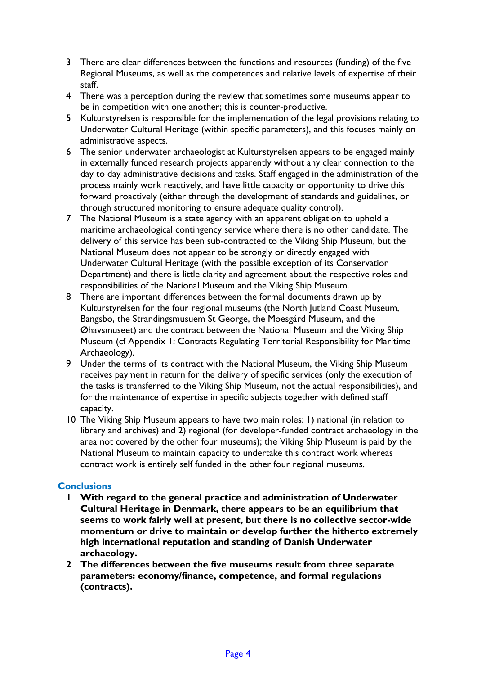- 3 There are clear differences between the functions and resources (funding) of the five Regional Museums, as well as the competences and relative levels of expertise of their staff.
- 4 There was a perception during the review that sometimes some museums appear to be in competition with one another; this is counter-productive.
- 5 Kulturstyrelsen is responsible for the implementation of the legal provisions relating to Underwater Cultural Heritage (within specific parameters), and this focuses mainly on administrative aspects.
- 6 The senior underwater archaeologist at Kulturstyrelsen appears to be engaged mainly in externally funded research projects apparently without any clear connection to the day to day administrative decisions and tasks. Staff engaged in the administration of the process mainly work reactively, and have little capacity or opportunity to drive this forward proactively (either through the development of standards and guidelines, or through structured monitoring to ensure adequate quality control).
- 7 The National Museum is a state agency with an apparent obligation to uphold a maritime archaeological contingency service where there is no other candidate. The delivery of this service has been sub-contracted to the Viking Ship Museum, but the National Museum does not appear to be strongly or directly engaged with Underwater Cultural Heritage (with the possible exception of its Conservation Department) and there is little clarity and agreement about the respective roles and responsibilities of the National Museum and the Viking Ship Museum.
- 8 There are important differences between the formal documents drawn up by Kulturstyrelsen for the four regional museums (the North Jutland Coast Museum, Bangsbo, the Strandingsmusuem St George, the Moesgård Museum, and the Øhavsmuseet) and the contract between the National Museum and the Viking Ship Museum (cf Appendix 1: Contracts Regulating Territorial Responsibility for Maritime Archaeology).
- 9 Under the terms of its contract with the National Museum, the Viking Ship Museum receives payment in return for the delivery of specific services (only the execution of the tasks is transferred to the Viking Ship Museum, not the actual responsibilities), and for the maintenance of expertise in specific subjects together with defined staff capacity.
- 10 The Viking Ship Museum appears to have two main roles: 1) national (in relation to library and archives) and 2) regional (for developer-funded contract archaeology in the area not covered by the other four museums); the Viking Ship Museum is paid by the National Museum to maintain capacity to undertake this contract work whereas contract work is entirely self funded in the other four regional museums.

## **Conclusions**

- **1 With regard to the general practice and administration of Underwater Cultural Heritage in Denmark, there appears to be an equilibrium that seems to work fairly well at present, but there is no collective sector-wide momentum or drive to maintain or develop further the hitherto extremely high international reputation and standing of Danish Underwater archaeology.**
- **2 The differences between the five museums result from three separate parameters: economy/finance, competence, and formal regulations (contracts).**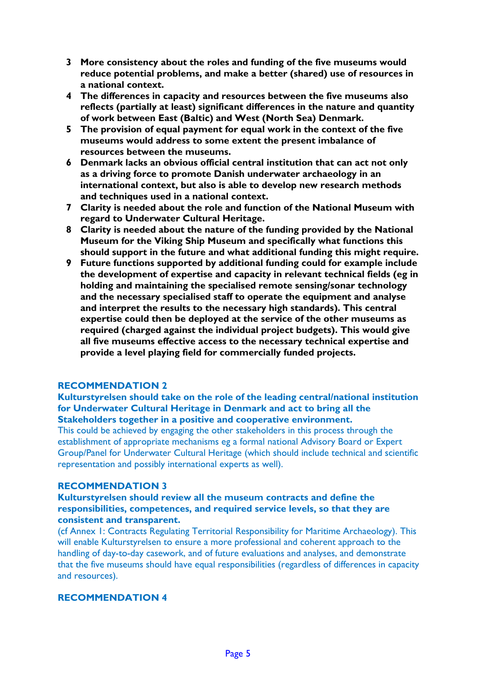- **3 More consistency about the roles and funding of the five museums would reduce potential problems, and make a better (shared) use of resources in a national context.**
- **4 The differences in capacity and resources between the five museums also reflects (partially at least) significant differences in the nature and quantity of work between East (Baltic) and West (North Sea) Denmark.**
- **5 The provision of equal payment for equal work in the context of the five museums would address to some extent the present imbalance of resources between the museums.**
- **6 Denmark lacks an obvious official central institution that can act not only as a driving force to promote Danish underwater archaeology in an international context, but also is able to develop new research methods and techniques used in a national context.**
- **7 Clarity is needed about the role and function of the National Museum with regard to Underwater Cultural Heritage.**
- **8 Clarity is needed about the nature of the funding provided by the National Museum for the Viking Ship Museum and specifically what functions this should support in the future and what additional funding this might require.**
- **9 Future functions supported by additional funding could for example include the development of expertise and capacity in relevant technical fields (eg in holding and maintaining the specialised remote sensing/sonar technology and the necessary specialised staff to operate the equipment and analyse and interpret the results to the necessary high standards). This central expertise could then be deployed at the service of the other museums as required (charged against the individual project budgets). This would give all five museums effective access to the necessary technical expertise and provide a level playing field for commercially funded projects.**

**Kulturstyrelsen should take on the role of the leading central/national institution for Underwater Cultural Heritage in Denmark and act to bring all the Stakeholders together in a positive and cooperative environment.**

This could be achieved by engaging the other stakeholders in this process through the establishment of appropriate mechanisms eg a formal national Advisory Board or Expert Group/Panel for Underwater Cultural Heritage (which should include technical and scientific representation and possibly international experts as well).

#### **RECOMMENDATION 3**

## **Kulturstyrelsen should review all the museum contracts and define the responsibilities, competences, and required service levels, so that they are consistent and transparent.**

(cf Annex 1: Contracts Regulating Territorial Responsibility for Maritime Archaeology). This will enable Kulturstyrelsen to ensure a more professional and coherent approach to the handling of day-to-day casework, and of future evaluations and analyses, and demonstrate that the five museums should have equal responsibilities (regardless of differences in capacity and resources).

## **RECOMMENDATION 4**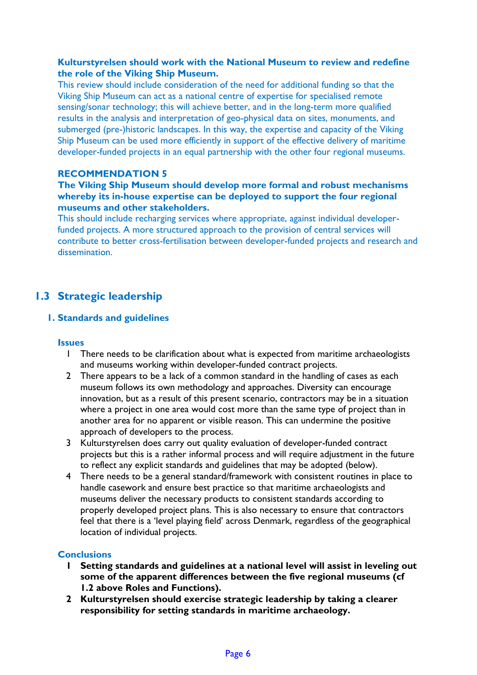## **Kulturstyrelsen should work with the National Museum to review and redefine the role of the Viking Ship Museum.**

This review should include consideration of the need for additional funding so that the Viking Ship Museum can act as a national centre of expertise for specialised remote sensing/sonar technology; this will achieve better, and in the long-term more qualified results in the analysis and interpretation of geo-physical data on sites, monuments, and submerged (pre-)historic landscapes. In this way, the expertise and capacity of the Viking Ship Museum can be used more efficiently in support of the effective delivery of maritime developer-funded projects in an equal partnership with the other four regional museums.

## **RECOMMENDATION 5**

## **The Viking Ship Museum should develop more formal and robust mechanisms whereby its in-house expertise can be deployed to support the four regional museums and other stakeholders.**

This should include recharging services where appropriate, against individual developerfunded projects. A more structured approach to the provision of central services will contribute to better cross-fertilisation between developer-funded projects and research and dissemination.

## **1.3 Strategic leadership**

## **1. Standards and guidelines**

#### **Issues**

- 1 There needs to be clarification about what is expected from maritime archaeologists and museums working within developer-funded contract projects.
- 2 There appears to be a lack of a common standard in the handling of cases as each museum follows its own methodology and approaches. Diversity can encourage innovation, but as a result of this present scenario, contractors may be in a situation where a project in one area would cost more than the same type of project than in another area for no apparent or visible reason. This can undermine the positive approach of developers to the process.
- 3 Kulturstyrelsen does carry out quality evaluation of developer-funded contract projects but this is a rather informal process and will require adjustment in the future to reflect any explicit standards and guidelines that may be adopted (below).
- 4 There needs to be a general standard/framework with consistent routines in place to handle casework and ensure best practice so that maritime archaeologists and museums deliver the necessary products to consistent standards according to properly developed project plans. This is also necessary to ensure that contractors feel that there is a 'level playing field' across Denmark, regardless of the geographical location of individual projects.

#### **Conclusions**

- **1 Setting standards and guidelines at a national level will assist in leveling out some of the apparent differences between the five regional museums (cf 1.2 above Roles and Functions).**
- **2 Kulturstyrelsen should exercise strategic leadership by taking a clearer responsibility for setting standards in maritime archaeology.**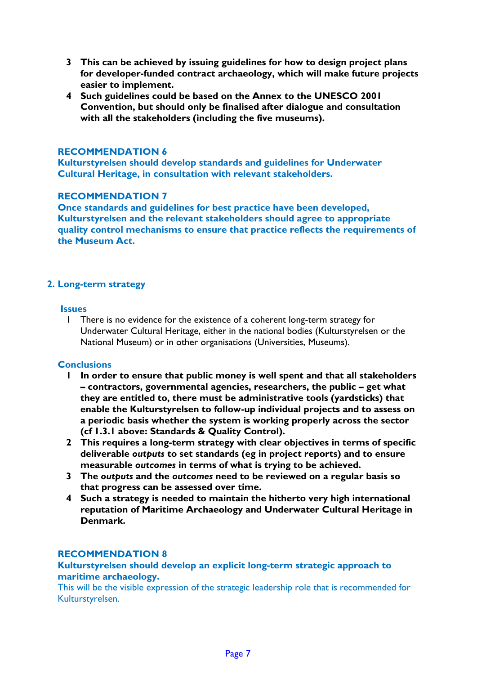- **3 This can be achieved by issuing guidelines for how to design project plans for developer-funded contract archaeology, which will make future projects easier to implement.**
- **4 Such guidelines could be based on the Annex to the UNESCO 2001 Convention, but should only be finalised after dialogue and consultation with all the stakeholders (including the five museums).**

**Kulturstyrelsen should develop standards and guidelines for Underwater Cultural Heritage, in consultation with relevant stakeholders.**

#### **RECOMMENDATION 7**

**Once standards and guidelines for best practice have been developed, Kulturstyrelsen and the relevant stakeholders should agree to appropriate quality control mechanisms to ensure that practice reflects the requirements of the Museum Act.**

## **2. Long-term strategy**

#### **Issues**

1 There is no evidence for the existence of a coherent long-term strategy for Underwater Cultural Heritage, either in the national bodies (Kulturstyrelsen or the National Museum) or in other organisations (Universities, Museums).

## **Conclusions**

- **1 In order to ensure that public money is well spent and that all stakeholders – contractors, governmental agencies, researchers, the public – get what they are entitled to, there must be administrative tools (yardsticks) that enable the Kulturstyrelsen to follow-up individual projects and to assess on a periodic basis whether the system is working properly across the sector (cf 1.3.1 above: Standards & Quality Control).**
- **2 This requires a long-term strategy with clear objectives in terms of specific deliverable** *outputs* **to set standards (eg in project reports) and to ensure measurable** *outcomes* **in terms of what is trying to be achieved.**
- **3 The** *outputs* **and the** *outcomes* **need to be reviewed on a regular basis so that progress can be assessed over time.**
- **4 Such a strategy is needed to maintain the hitherto very high international reputation of Maritime Archaeology and Underwater Cultural Heritage in Denmark.**

## **RECOMMENDATION 8**

## **Kulturstyrelsen should develop an explicit long-term strategic approach to maritime archaeology.**

This will be the visible expression of the strategic leadership role that is recommended for Kulturstyrelsen.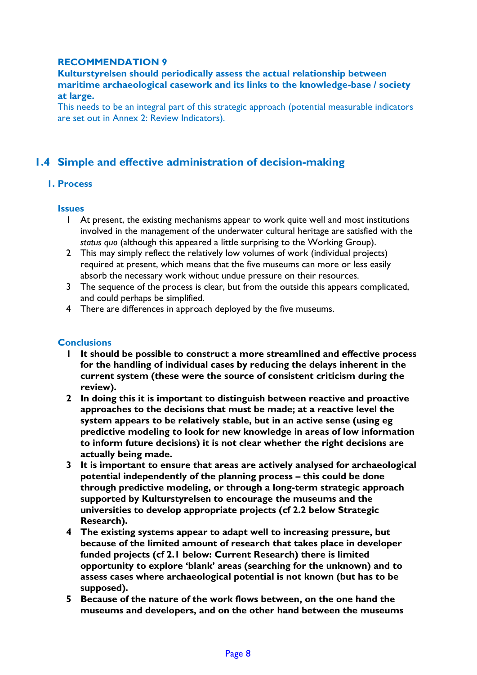**Kulturstyrelsen should periodically assess the actual relationship between maritime archaeological casework and its links to the knowledge-base / society at large.**

This needs to be an integral part of this strategic approach (potential measurable indicators are set out in Annex 2: Review Indicators).

## **1.4 Simple and effective administration of decision-making**

## **1. Process**

## **Issues**

- 1 At present, the existing mechanisms appear to work quite well and most institutions involved in the management of the underwater cultural heritage are satisfied with the *status quo* (although this appeared a little surprising to the Working Group).
- 2 This may simply reflect the relatively low volumes of work (individual projects) required at present, which means that the five museums can more or less easily absorb the necessary work without undue pressure on their resources.
- 3 The sequence of the process is clear, but from the outside this appears complicated, and could perhaps be simplified.
- 4 There are differences in approach deployed by the five museums.

## **Conclusions**

- **1 It should be possible to construct a more streamlined and effective process for the handling of individual cases by reducing the delays inherent in the current system (these were the source of consistent criticism during the review).**
- **2 In doing this it is important to distinguish between reactive and proactive approaches to the decisions that must be made; at a reactive level the system appears to be relatively stable, but in an active sense (using eg predictive modeling to look for new knowledge in areas of low information to inform future decisions) it is not clear whether the right decisions are actually being made.**
- **3 It is important to ensure that areas are actively analysed for archaeological potential independently of the planning process – this could be done through predictive modeling, or through a long-term strategic approach supported by Kulturstyrelsen to encourage the museums and the universities to develop appropriate projects (cf 2.2 below Strategic Research).**
- **4 The existing systems appear to adapt well to increasing pressure, but because of the limited amount of research that takes place in developer funded projects (cf 2.1 below: Current Research) there is limited opportunity to explore 'blank' areas (searching for the unknown) and to assess cases where archaeological potential is not known (but has to be supposed).**
- **5 Because of the nature of the work flows between, on the one hand the museums and developers, and on the other hand between the museums**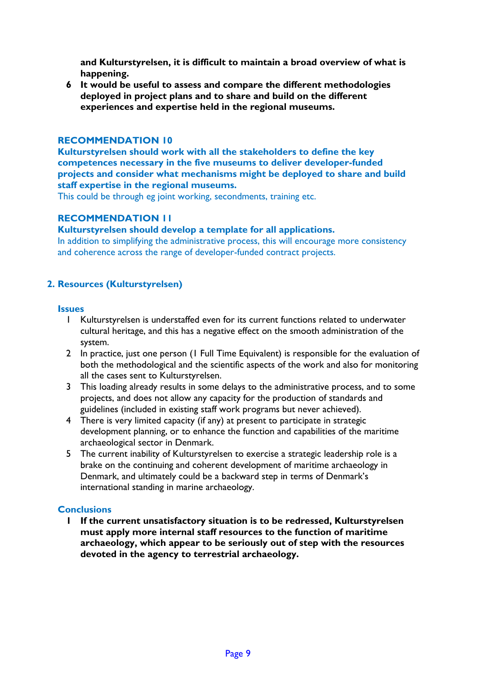**and Kulturstyrelsen, it is difficult to maintain a broad overview of what is happening.**

**6 It would be useful to assess and compare the different methodologies deployed in project plans and to share and build on the different experiences and expertise held in the regional museums.**

## **RECOMMENDATION 10**

**Kulturstyrelsen should work with all the stakeholders to define the key competences necessary in the five museums to deliver developer-funded projects and consider what mechanisms might be deployed to share and build staff expertise in the regional museums.**

This could be through eg joint working, secondments, training etc.

## **RECOMMENDATION 11**

#### **Kulturstyrelsen should develop a template for all applications.**

In addition to simplifying the administrative process, this will encourage more consistency and coherence across the range of developer-funded contract projects.

## **2. Resources (Kulturstyrelsen)**

#### **Issues**

- 1 Kulturstyrelsen is understaffed even for its current functions related to underwater cultural heritage, and this has a negative effect on the smooth administration of the system.
- 2 In practice, just one person (1 Full Time Equivalent) is responsible for the evaluation of both the methodological and the scientific aspects of the work and also for monitoring all the cases sent to Kulturstyrelsen.
- 3 This loading already results in some delays to the administrative process, and to some projects, and does not allow any capacity for the production of standards and guidelines (included in existing staff work programs but never achieved).
- 4 There is very limited capacity (if any) at present to participate in strategic development planning, or to enhance the function and capabilities of the maritime archaeological sector in Denmark.
- 5 The current inability of Kulturstyrelsen to exercise a strategic leadership role is a brake on the continuing and coherent development of maritime archaeology in Denmark, and ultimately could be a backward step in terms of Denmark's international standing in marine archaeology.

#### **Conclusions**

**1 If the current unsatisfactory situation is to be redressed, Kulturstyrelsen must apply more internal staff resources to the function of maritime archaeology, which appear to be seriously out of step with the resources devoted in the agency to terrestrial archaeology.**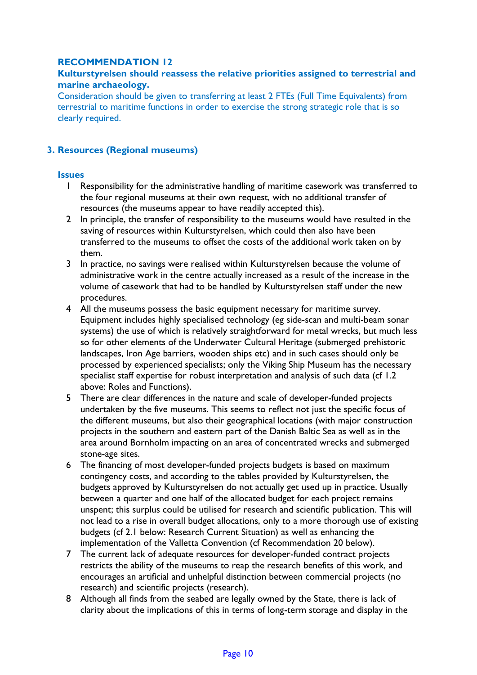## **Kulturstyrelsen should reassess the relative priorities assigned to terrestrial and marine archaeology.**

Consideration should be given to transferring at least 2 FTEs (Full Time Equivalents) from terrestrial to maritime functions in order to exercise the strong strategic role that is so clearly required.

## **3. Resources (Regional museums)**

#### **Issues**

- 1 Responsibility for the administrative handling of maritime casework was transferred to the four regional museums at their own request, with no additional transfer of resources (the museums appear to have readily accepted this).
- 2 In principle, the transfer of responsibility to the museums would have resulted in the saving of resources within Kulturstyrelsen, which could then also have been transferred to the museums to offset the costs of the additional work taken on by them.
- 3 In practice, no savings were realised within Kulturstyrelsen because the volume of administrative work in the centre actually increased as a result of the increase in the volume of casework that had to be handled by Kulturstyrelsen staff under the new procedures.
- 4 All the museums possess the basic equipment necessary for maritime survey. Equipment includes highly specialised technology (eg side-scan and multi-beam sonar systems) the use of which is relatively straightforward for metal wrecks, but much less so for other elements of the Underwater Cultural Heritage (submerged prehistoric landscapes, Iron Age barriers, wooden ships etc) and in such cases should only be processed by experienced specialists; only the Viking Ship Museum has the necessary specialist staff expertise for robust interpretation and analysis of such data (cf 1.2 above: Roles and Functions).
- 5 There are clear differences in the nature and scale of developer-funded projects undertaken by the five museums. This seems to reflect not just the specific focus of the different museums, but also their geographical locations (with major construction projects in the southern and eastern part of the Danish Baltic Sea as well as in the area around Bornholm impacting on an area of concentrated wrecks and submerged stone-age sites.
- 6 The financing of most developer-funded projects budgets is based on maximum contingency costs, and according to the tables provided by Kulturstyrelsen, the budgets approved by Kulturstyrelsen do not actually get used up in practice. Usually between a quarter and one half of the allocated budget for each project remains unspent; this surplus could be utilised for research and scientific publication. This will not lead to a rise in overall budget allocations, only to a more thorough use of existing budgets (cf 2.1 below: Research Current Situation) as well as enhancing the implementation of the Valletta Convention (cf Recommendation 20 below).
- 7 The current lack of adequate resources for developer-funded contract projects restricts the ability of the museums to reap the research benefits of this work, and encourages an artificial and unhelpful distinction between commercial projects (no research) and scientific projects (research).
- 8 Although all finds from the seabed are legally owned by the State, there is lack of clarity about the implications of this in terms of long-term storage and display in the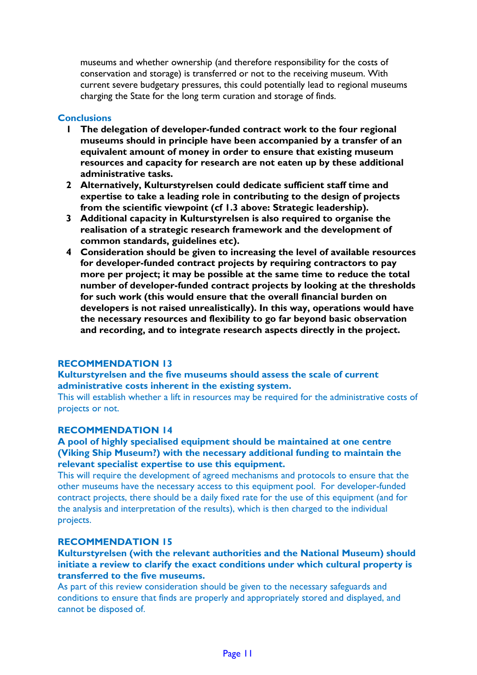museums and whether ownership (and therefore responsibility for the costs of conservation and storage) is transferred or not to the receiving museum. With current severe budgetary pressures, this could potentially lead to regional museums charging the State for the long term curation and storage of finds.

## **Conclusions**

- **1 The delegation of developer-funded contract work to the four regional museums should in principle have been accompanied by a transfer of an equivalent amount of money in order to ensure that existing museum resources and capacity for research are not eaten up by these additional administrative tasks.**
- **2 Alternatively, Kulturstyrelsen could dedicate sufficient staff time and expertise to take a leading role in contributing to the design of projects from the scientific viewpoint (cf 1.3 above: Strategic leadership).**
- **3 Additional capacity in Kulturstyrelsen is also required to organise the realisation of a strategic research framework and the development of common standards, guidelines etc).**
- **4 Consideration should be given to increasing the level of available resources for developer-funded contract projects by requiring contractors to pay more per project; it may be possible at the same time to reduce the total number of developer-funded contract projects by looking at the thresholds for such work (this would ensure that the overall financial burden on developers is not raised unrealistically). In this way, operations would have the necessary resources and flexibility to go far beyond basic observation and recording, and to integrate research aspects directly in the project.**

## **RECOMMENDATION 13**

## **Kulturstyrelsen and the five museums should assess the scale of current administrative costs inherent in the existing system.**

This will establish whether a lift in resources may be required for the administrative costs of projects or not.

#### **RECOMMENDATION 14**

### **A pool of highly specialised equipment should be maintained at one centre (Viking Ship Museum?) with the necessary additional funding to maintain the relevant specialist expertise to use this equipment.**

This will require the development of agreed mechanisms and protocols to ensure that the other museums have the necessary access to this equipment pool. For developer-funded contract projects, there should be a daily fixed rate for the use of this equipment (and for the analysis and interpretation of the results), which is then charged to the individual projects.

## **RECOMMENDATION 15**

#### **Kulturstyrelsen (with the relevant authorities and the National Museum) should initiate a review to clarify the exact conditions under which cultural property is transferred to the five museums.**

As part of this review consideration should be given to the necessary safeguards and conditions to ensure that finds are properly and appropriately stored and displayed, and cannot be disposed of.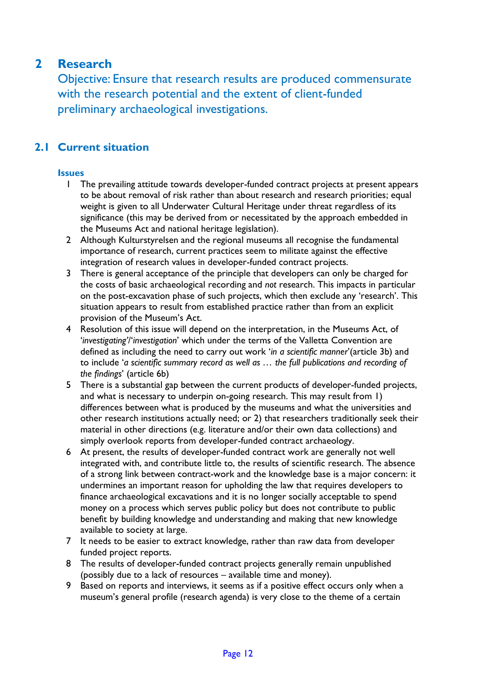# **2 Research**

Objective: Ensure that research results are produced commensurate with the research potential and the extent of client-funded preliminary archaeological investigations.

## **2.1 Current situation**

## **Issues**

- 1 The prevailing attitude towards developer-funded contract projects at present appears to be about removal of risk rather than about research and research priorities; equal weight is given to all Underwater Cultural Heritage under threat regardless of its significance (this may be derived from or necessitated by the approach embedded in the Museums Act and national heritage legislation).
- 2 Although Kulturstyrelsen and the regional museums all recognise the fundamental importance of research, current practices seem to militate against the effective integration of research values in developer-funded contract projects.
- 3 There is general acceptance of the principle that developers can only be charged for the costs of basic archaeological recording and *not* research. This impacts in particular on the post-excavation phase of such projects, which then exclude any 'research'. This situation appears to result from established practice rather than from an explicit provision of the Museum's Act.
- 4 Resolution of this issue will depend on the interpretation, in the Museums Act, of '*investigating'*/'*investigation*' which under the terms of the Valletta Convention are defined as including the need to carry out work '*in a scientific manner*'(article 3b) and to include '*a scientific summary record as well as … the full publications and recording of the findings*' (article 6b)
- 5 There is a substantial gap between the current products of developer-funded projects, and what is necessary to underpin on-going research. This may result from 1) differences between what is produced by the museums and what the universities and other research institutions actually need; or 2) that researchers traditionally seek their material in other directions (e.g. literature and/or their own data collections) and simply overlook reports from developer-funded contract archaeology.
- 6 At present, the results of developer-funded contract work are generally not well integrated with, and contribute little to, the results of scientific research. The absence of a strong link between contract-work and the knowledge base is a major concern: it undermines an important reason for upholding the law that requires developers to finance archaeological excavations and it is no longer socially acceptable to spend money on a process which serves public policy but does not contribute to public benefit by building knowledge and understanding and making that new knowledge available to society at large.
- 7 It needs to be easier to extract knowledge, rather than raw data from developer funded project reports.
- 8 The results of developer-funded contract projects generally remain unpublished (possibly due to a lack of resources – available time and money).
- 9 Based on reports and interviews, it seems as if a positive effect occurs only when a museum's general profile (research agenda) is very close to the theme of a certain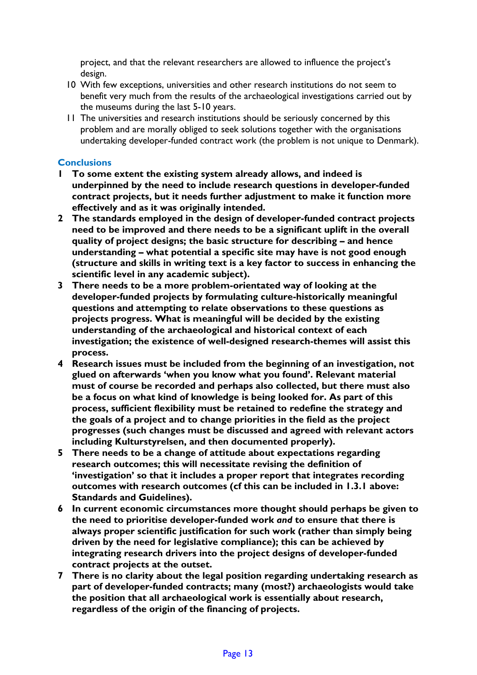project, and that the relevant researchers are allowed to influence the project's design.

- 10 With few exceptions, universities and other research institutions do not seem to benefit very much from the results of the archaeological investigations carried out by the museums during the last 5-10 years.
- 11 The universities and research institutions should be seriously concerned by this problem and are morally obliged to seek solutions together with the organisations undertaking developer-funded contract work (the problem is not unique to Denmark).

## **Conclusions**

- **1 To some extent the existing system already allows, and indeed is underpinned by the need to include research questions in developer-funded contract projects, but it needs further adjustment to make it function more effectively and as it was originally intended.**
- **2 The standards employed in the design of developer-funded contract projects need to be improved and there needs to be a significant uplift in the overall quality of project designs; the basic structure for describing – and hence understanding – what potential a specific site may have is not good enough (structure and skills in writing text is a key factor to success in enhancing the scientific level in any academic subject).**
- **3 There needs to be a more problem-orientated way of looking at the developer-funded projects by formulating culture-historically meaningful questions and attempting to relate observations to these questions as projects progress. What is meaningful will be decided by the existing understanding of the archaeological and historical context of each investigation; the existence of well-designed research-themes will assist this process.**
- **4 Research issues must be included from the beginning of an investigation, not glued on afterwards 'when you know what you found'. Relevant material must of course be recorded and perhaps also collected, but there must also be a focus on what kind of knowledge is being looked for. As part of this process, sufficient flexibility must be retained to redefine the strategy and the goals of a project and to change priorities in the field as the project progresses (such changes must be discussed and agreed with relevant actors including Kulturstyrelsen, and then documented properly).**
- **5 There needs to be a change of attitude about expectations regarding research outcomes; this will necessitate revising the definition of 'investigation' so that it includes a proper report that integrates recording outcomes with research outcomes (cf this can be included in 1.3.1 above: Standards and Guidelines).**
- **6 In current economic circumstances more thought should perhaps be given to the need to prioritise developer-funded work** *and* **to ensure that there is always proper scientific justification for such work (rather than simply being driven by the need for legislative compliance); this can be achieved by integrating research drivers into the project designs of developer-funded contract projects at the outset.**
- **7 There is no clarity about the legal position regarding undertaking research as part of developer-funded contracts; many (most?) archaeologists would take the position that all archaeological work is essentially about research, regardless of the origin of the financing of projects.**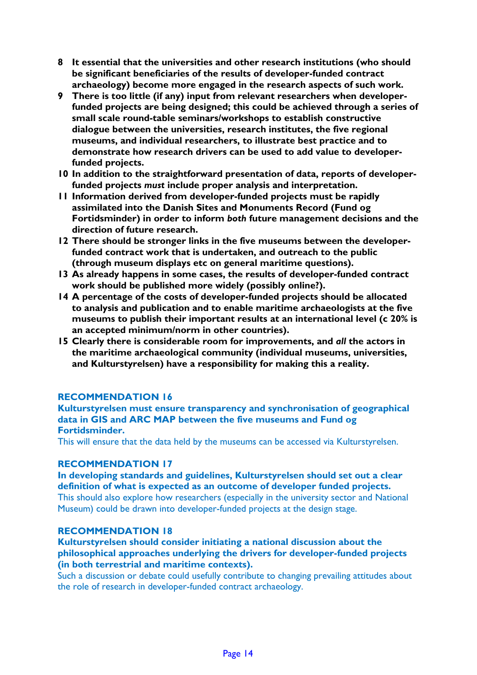- **8 It essential that the universities and other research institutions (who should be significant beneficiaries of the results of developer-funded contract archaeology) become more engaged in the research aspects of such work.**
- **9 There is too little (if any) input from relevant researchers when developerfunded projects are being designed; this could be achieved through a series of small scale round-table seminars/workshops to establish constructive dialogue between the universities, research institutes, the five regional museums, and individual researchers, to illustrate best practice and to demonstrate how research drivers can be used to add value to developerfunded projects.**
- **10 In addition to the straightforward presentation of data, reports of developerfunded projects** *must* **include proper analysis and interpretation.**
- **11 Information derived from developer-funded projects must be rapidly assimilated into the Danish Sites and Monuments Record (Fund og Fortidsminder) in order to inform** *both* **future management decisions and the direction of future research.**
- **12 There should be stronger links in the five museums between the developerfunded contract work that is undertaken, and outreach to the public (through museum displays etc on general maritime questions).**
- **13 As already happens in some cases, the results of developer-funded contract work should be published more widely (possibly online?).**
- **14 A percentage of the costs of developer-funded projects should be allocated to analysis and publication and to enable maritime archaeologists at the five museums to publish their important results at an international level (c 20% is an accepted minimum/norm in other countries).**
- **15 Clearly there is considerable room for improvements, and** *all* **the actors in the maritime archaeological community (individual museums, universities, and Kulturstyrelsen) have a responsibility for making this a reality.**

#### **Kulturstyrelsen must ensure transparency and synchronisation of geographical data in GIS and ARC MAP between the five museums and Fund og Fortidsminder.**

This will ensure that the data held by the museums can be accessed via Kulturstyrelsen.

#### **RECOMMENDATION 17**

**In developing standards and guidelines, Kulturstyrelsen should set out a clear definition of what is expected as an outcome of developer funded projects.** This should also explore how researchers (especially in the university sector and National Museum) could be drawn into developer-funded projects at the design stage.

#### **RECOMMENDATION 18**

**Kulturstyrelsen should consider initiating a national discussion about the philosophical approaches underlying the drivers for developer-funded projects (in both terrestrial and maritime contexts).** 

Such a discussion or debate could usefully contribute to changing prevailing attitudes about the role of research in developer-funded contract archaeology.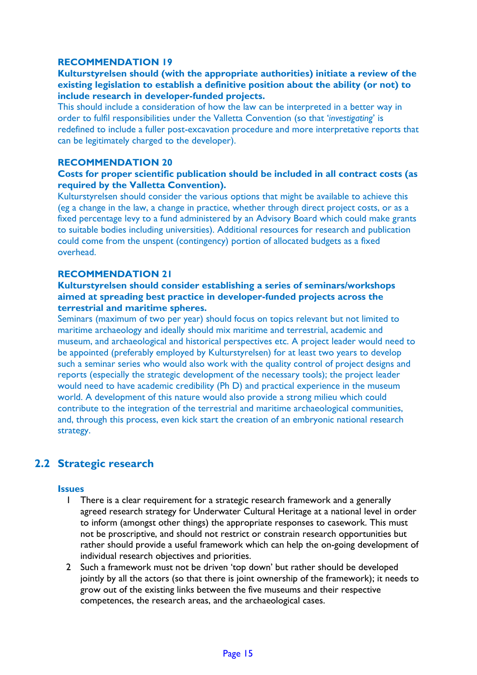## **Kulturstyrelsen should (with the appropriate authorities) initiate a review of the existing legislation to establish a definitive position about the ability (or not) to include research in developer-funded projects.**

This should include a consideration of how the law can be interpreted in a better way in order to fulfil responsibilities under the Valletta Convention (so that '*investigating*' is redefined to include a fuller post-excavation procedure and more interpretative reports that can be legitimately charged to the developer).

## **RECOMMENDATION 20**

## **Costs for proper scientific publication should be included in all contract costs (as required by the Valletta Convention).**

Kulturstyrelsen should consider the various options that might be available to achieve this (eg a change in the law, a change in practice, whether through direct project costs, or as a fixed percentage levy to a fund administered by an Advisory Board which could make grants to suitable bodies including universities). Additional resources for research and publication could come from the unspent (contingency) portion of allocated budgets as a fixed overhead.

### **RECOMMENDATION 21**

## **Kulturstyrelsen should consider establishing a series of seminars/workshops aimed at spreading best practice in developer-funded projects across the terrestrial and maritime spheres.**

Seminars (maximum of two per year) should focus on topics relevant but not limited to maritime archaeology and ideally should mix maritime and terrestrial, academic and museum, and archaeological and historical perspectives etc. A project leader would need to be appointed (preferably employed by Kulturstyrelsen) for at least two years to develop such a seminar series who would also work with the quality control of project designs and reports (especially the strategic development of the necessary tools); the project leader would need to have academic credibility (Ph D) and practical experience in the museum world. A development of this nature would also provide a strong milieu which could contribute to the integration of the terrestrial and maritime archaeological communities, and, through this process, even kick start the creation of an embryonic national research strategy.

## **2.2 Strategic research**

#### **Issues**

- 1 There is a clear requirement for a strategic research framework and a generally agreed research strategy for Underwater Cultural Heritage at a national level in order to inform (amongst other things) the appropriate responses to casework. This must not be proscriptive, and should not restrict or constrain research opportunities but rather should provide a useful framework which can help the on-going development of individual research objectives and priorities.
- 2 Such a framework must not be driven 'top down' but rather should be developed jointly by all the actors (so that there is joint ownership of the framework); it needs to grow out of the existing links between the five museums and their respective competences, the research areas, and the archaeological cases.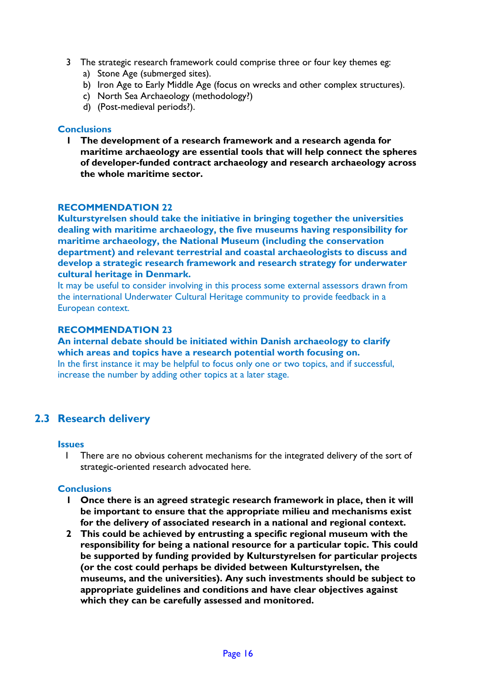- 3 The strategic research framework could comprise three or four key themes eg:
	- a) Stone Age (submerged sites).
	- b) Iron Age to Early Middle Age (focus on wrecks and other complex structures).
	- c) North Sea Archaeology (methodology?)
	- d) (Post-medieval periods?).

#### **Conclusions**

**1 The development of a research framework and a research agenda for maritime archaeology are essential tools that will help connect the spheres of developer-funded contract archaeology and research archaeology across the whole maritime sector.**

## **RECOMMENDATION 22**

**Kulturstyrelsen should take the initiative in bringing together the universities dealing with maritime archaeology, the five museums having responsibility for maritime archaeology, the National Museum (including the conservation department) and relevant terrestrial and coastal archaeologists to discuss and develop a strategic research framework and research strategy for underwater cultural heritage in Denmark.**

It may be useful to consider involving in this process some external assessors drawn from the international Underwater Cultural Heritage community to provide feedback in a European context.

## **RECOMMENDATION 23**

**An internal debate should be initiated within Danish archaeology to clarify which areas and topics have a research potential worth focusing on.**  In the first instance it may be helpful to focus only one or two topics, and if successful, increase the number by adding other topics at a later stage.

## **2.3 Research delivery**

#### **Issues**

1 There are no obvious coherent mechanisms for the integrated delivery of the sort of strategic-oriented research advocated here.

#### **Conclusions**

- **1 Once there is an agreed strategic research framework in place, then it will be important to ensure that the appropriate milieu and mechanisms exist for the delivery of associated research in a national and regional context.**
- **2 This could be achieved by entrusting a specific regional museum with the responsibility for being a national resource for a particular topic. This could be supported by funding provided by Kulturstyrelsen for particular projects (or the cost could perhaps be divided between Kulturstyrelsen, the museums, and the universities). Any such investments should be subject to appropriate guidelines and conditions and have clear objectives against which they can be carefully assessed and monitored.**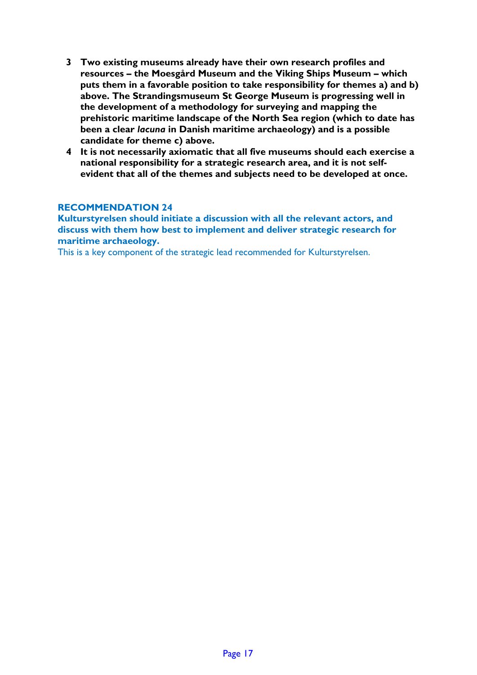- **3 Two existing museums already have their own research profiles and resources – the Moesgård Museum and the Viking Ships Museum – which puts them in a favorable position to take responsibility for themes a) and b) above. The Strandingsmuseum St George Museum is progressing well in the development of a methodology for surveying and mapping the prehistoric maritime landscape of the North Sea region (which to date has been a clear** *lacuna* **in Danish maritime archaeology) and is a possible candidate for theme c) above.**
- **4 It is not necessarily axiomatic that all five museums should each exercise a national responsibility for a strategic research area, and it is not selfevident that all of the themes and subjects need to be developed at once.**

**Kulturstyrelsen should initiate a discussion with all the relevant actors, and discuss with them how best to implement and deliver strategic research for maritime archaeology.**

This is a key component of the strategic lead recommended for Kulturstyrelsen.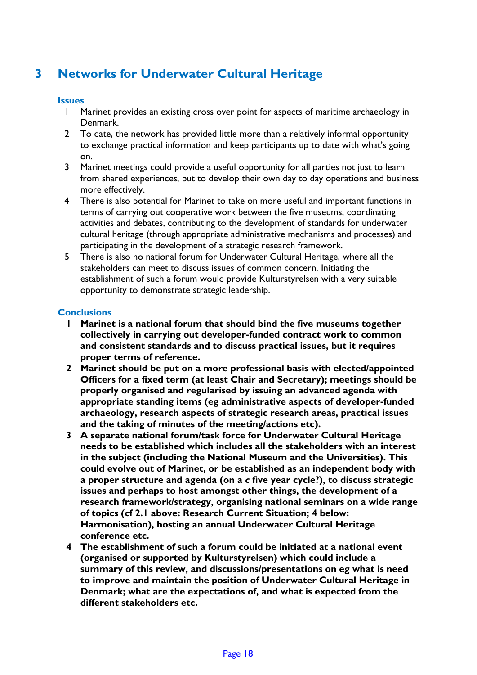# **3 Networks for Underwater Cultural Heritage**

## **Issues**

- 1 Marinet provides an existing cross over point for aspects of maritime archaeology in Denmark.
- 2 To date, the network has provided little more than a relatively informal opportunity to exchange practical information and keep participants up to date with what's going on.
- 3 Marinet meetings could provide a useful opportunity for all parties not just to learn from shared experiences, but to develop their own day to day operations and business more effectively.
- 4 There is also potential for Marinet to take on more useful and important functions in terms of carrying out cooperative work between the five museums, coordinating activities and debates, contributing to the development of standards for underwater cultural heritage (through appropriate administrative mechanisms and processes) and participating in the development of a strategic research framework.
- 5 There is also no national forum for Underwater Cultural Heritage, where all the stakeholders can meet to discuss issues of common concern. Initiating the establishment of such a forum would provide Kulturstyrelsen with a very suitable opportunity to demonstrate strategic leadership.

## **Conclusions**

- **1 Marinet is a national forum that should bind the five museums together collectively in carrying out developer-funded contract work to common and consistent standards and to discuss practical issues, but it requires proper terms of reference.**
- **2 Marinet should be put on a more professional basis with elected/appointed Officers for a fixed term (at least Chair and Secretary); meetings should be properly organised and regularised by issuing an advanced agenda with appropriate standing items (eg administrative aspects of developer-funded archaeology, research aspects of strategic research areas, practical issues and the taking of minutes of the meeting/actions etc).**
- **3 A separate national forum/task force for Underwater Cultural Heritage needs to be established which includes all the stakeholders with an interest in the subject (including the National Museum and the Universities). This could evolve out of Marinet, or be established as an independent body with a proper structure and agenda (on a** *c* **five year cycle?), to discuss strategic issues and perhaps to host amongst other things, the development of a research framework/strategy, organising national seminars on a wide range of topics (cf 2.1 above: Research Current Situation; 4 below: Harmonisation), hosting an annual Underwater Cultural Heritage conference etc.**
- **4 The establishment of such a forum could be initiated at a national event (organised or supported by Kulturstyrelsen) which could include a summary of this review, and discussions/presentations on eg what is need to improve and maintain the position of Underwater Cultural Heritage in Denmark; what are the expectations of, and what is expected from the different stakeholders etc.**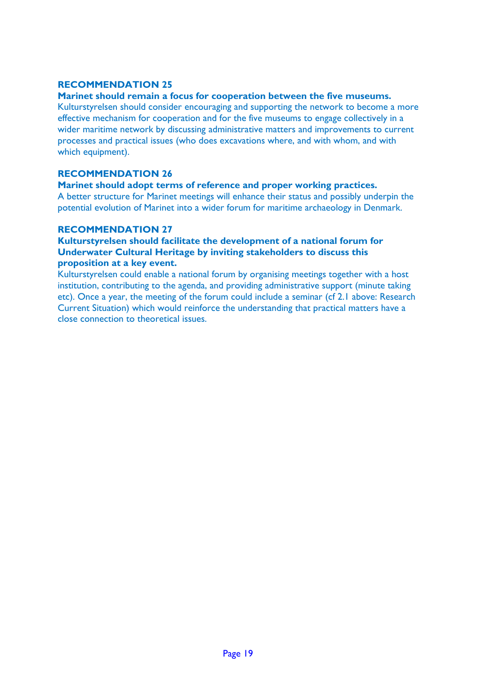## **Marinet should remain a focus for cooperation between the five museums.**

Kulturstyrelsen should consider encouraging and supporting the network to become a more effective mechanism for cooperation and for the five museums to engage collectively in a wider maritime network by discussing administrative matters and improvements to current processes and practical issues (who does excavations where, and with whom, and with which equipment).

## **RECOMMENDATION 26**

## **Marinet should adopt terms of reference and proper working practices.**

A better structure for Marinet meetings will enhance their status and possibly underpin the potential evolution of Marinet into a wider forum for maritime archaeology in Denmark.

## **RECOMMENDATION 27**

## **Kulturstyrelsen should facilitate the development of a national forum for Underwater Cultural Heritage by inviting stakeholders to discuss this proposition at a key event.**

Kulturstyrelsen could enable a national forum by organising meetings together with a host institution, contributing to the agenda, and providing administrative support (minute taking etc). Once a year, the meeting of the forum could include a seminar (cf 2.1 above: Research Current Situation) which would reinforce the understanding that practical matters have a close connection to theoretical issues.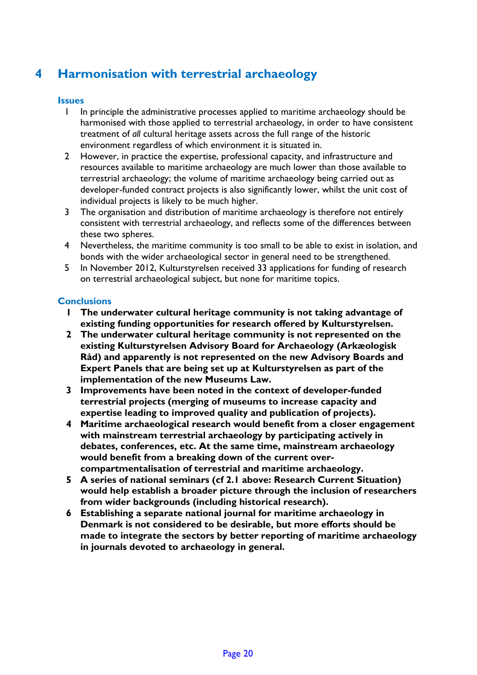# **4 Harmonisation with terrestrial archaeology**

## **Issues**

- 1 In principle the administrative processes applied to maritime archaeology should be harmonised with those applied to terrestrial archaeology, in order to have consistent treatment of *all* cultural heritage assets across the full range of the historic environment regardless of which environment it is situated in.
- 2 However, in practice the expertise, professional capacity, and infrastructure and resources available to maritime archaeology are much lower than those available to terrestrial archaeology; the volume of maritime archaeology being carried out as developer-funded contract projects is also significantly lower, whilst the unit cost of individual projects is likely to be much higher.
- 3 The organisation and distribution of maritime archaeology is therefore not entirely consistent with terrestrial archaeology, and reflects some of the differences between these two spheres.
- 4 Nevertheless, the maritime community is too small to be able to exist in isolation, and bonds with the wider archaeological sector in general need to be strengthened.
- 5 In November 2012, Kulturstyrelsen received 33 applications for funding of research on terrestrial archaeological subject, but none for maritime topics.

## **Conclusions**

- **1 The underwater cultural heritage community is not taking advantage of existing funding opportunities for research offered by Kulturstyrelsen.**
- **2 The underwater cultural heritage community is not represented on the existing Kulturstyrelsen Advisory Board for Archaeology (Arkæologisk Råd) and apparently is not represented on the new Advisory Boards and Expert Panels that are being set up at Kulturstyrelsen as part of the implementation of the new Museums Law.**
- **3 Improvements have been noted in the context of developer-funded terrestrial projects (merging of museums to increase capacity and expertise leading to improved quality and publication of projects).**
- **4 Maritime archaeological research would benefit from a closer engagement with mainstream terrestrial archaeology by participating actively in debates, conferences, etc. At the same time, mainstream archaeology would benefit from a breaking down of the current overcompartmentalisation of terrestrial and maritime archaeology.**
- **5 A series of national seminars (cf 2.1 above: Research Current Situation) would help establish a broader picture through the inclusion of researchers from wider backgrounds (including historical research).**
- **6 Establishing a separate national journal for maritime archaeology in Denmark is not considered to be desirable, but more efforts should be made to integrate the sectors by better reporting of maritime archaeology in journals devoted to archaeology in general.**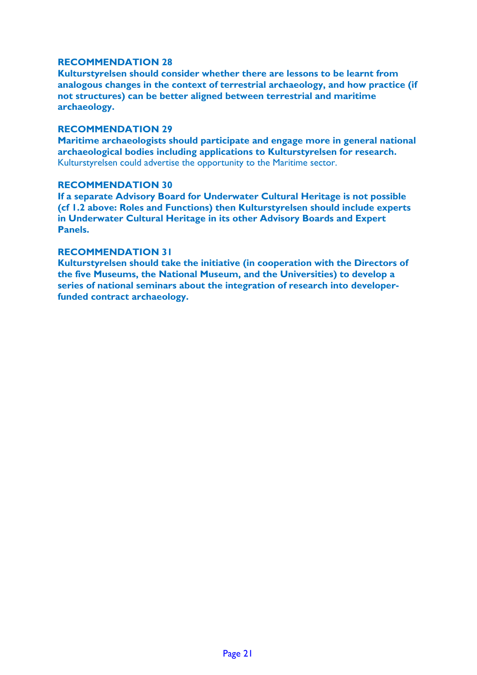**Kulturstyrelsen should consider whether there are lessons to be learnt from analogous changes in the context of terrestrial archaeology, and how practice (if not structures) can be better aligned between terrestrial and maritime archaeology.** 

#### **RECOMMENDATION 29**

**Maritime archaeologists should participate and engage more in general national archaeological bodies including applications to Kulturstyrelsen for research.** Kulturstyrelsen could advertise the opportunity to the Maritime sector.

#### **RECOMMENDATION 30**

**If a separate Advisory Board for Underwater Cultural Heritage is not possible (cf 1.2 above: Roles and Functions) then Kulturstyrelsen should include experts in Underwater Cultural Heritage in its other Advisory Boards and Expert Panels.**

#### **RECOMMENDATION 31**

**Kulturstyrelsen should take the initiative (in cooperation with the Directors of the five Museums, the National Museum, and the Universities) to develop a series of national seminars about the integration of research into developerfunded contract archaeology.**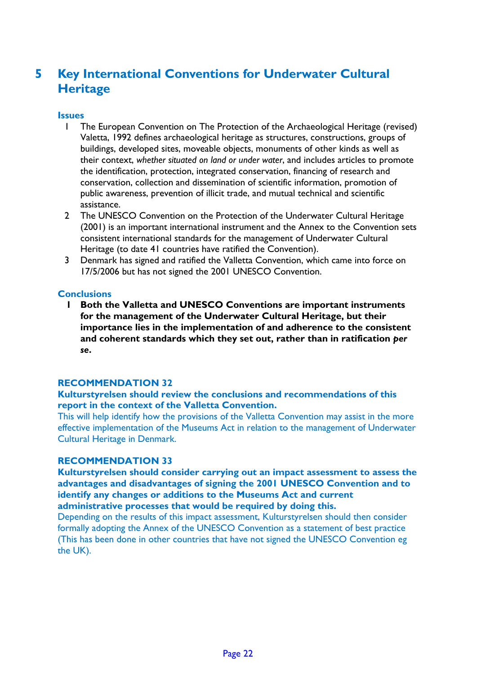# **5 Key International Conventions for Underwater Cultural Heritage**

## **Issues**

- 1 The European Convention on The Protection of the Archaeological Heritage (revised) Valetta, 1992 defines archaeological heritage as structures, constructions, groups of buildings, developed sites, moveable objects, monuments of other kinds as well as their context, *whether situated on land or under water*, and includes articles to promote the identification, protection, integrated conservation, financing of research and conservation, collection and dissemination of scientific information, promotion of public awareness, prevention of illicit trade, and mutual technical and scientific assistance.
- 2 The UNESCO Convention on the Protection of the Underwater Cultural Heritage (2001) is an important international instrument and the Annex to the Convention sets consistent international standards for the management of Underwater Cultural Heritage (to date 41 countries have ratified the Convention).
- 3 Denmark has signed and ratified the Valletta Convention, which came into force on 17/5/2006 but has not signed the 2001 UNESCO Convention.

## **Conclusions**

**1 Both the Valletta and UNESCO Conventions are important instruments for the management of the Underwater Cultural Heritage, but their importance lies in the implementation of and adherence to the consistent and coherent standards which they set out, rather than in ratification** *per se***.**

## **RECOMMENDATION 32**

#### **Kulturstyrelsen should review the conclusions and recommendations of this report in the context of the Valletta Convention.**

This will help identify how the provisions of the Valletta Convention may assist in the more effective implementation of the Museums Act in relation to the management of Underwater Cultural Heritage in Denmark.

#### **RECOMMENDATION 33**

**Kulturstyrelsen should consider carrying out an impact assessment to assess the advantages and disadvantages of signing the 2001 UNESCO Convention and to identify any changes or additions to the Museums Act and current administrative processes that would be required by doing this.**

Depending on the results of this impact assessment, Kulturstyrelsen should then consider formally adopting the Annex of the UNESCO Convention as a statement of best practice (This has been done in other countries that have not signed the UNESCO Convention eg the UK).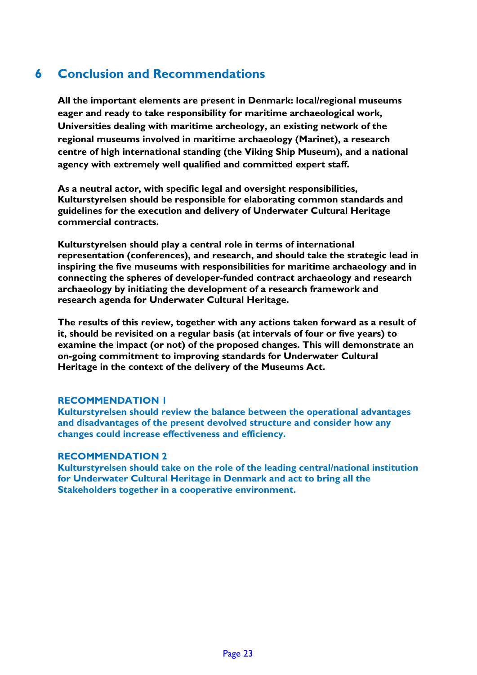# **6 Conclusion and Recommendations**

**All the important elements are present in Denmark: local/regional museums eager and ready to take responsibility for maritime archaeological work, Universities dealing with maritime archeology, an existing network of the regional museums involved in maritime archaeology (Marinet), a research centre of high international standing (the Viking Ship Museum), and a national agency with extremely well qualified and committed expert staff.** 

**As a neutral actor, with specific legal and oversight responsibilities, Kulturstyrelsen should be responsible for elaborating common standards and guidelines for the execution and delivery of Underwater Cultural Heritage commercial contracts.**

**Kulturstyrelsen should play a central role in terms of international representation (conferences), and research, and should take the strategic lead in inspiring the five museums with responsibilities for maritime archaeology and in connecting the spheres of developer-funded contract archaeology and research archaeology by initiating the development of a research framework and research agenda for Underwater Cultural Heritage.**

**The results of this review, together with any actions taken forward as a result of it, should be revisited on a regular basis (at intervals of four or five years) to examine the impact (or not) of the proposed changes. This will demonstrate an on-going commitment to improving standards for Underwater Cultural Heritage in the context of the delivery of the Museums Act.**

## **RECOMMENDATION 1**

**Kulturstyrelsen should review the balance between the operational advantages and disadvantages of the present devolved structure and consider how any changes could increase effectiveness and efficiency.**

#### **RECOMMENDATION 2**

**Kulturstyrelsen should take on the role of the leading central/national institution for Underwater Cultural Heritage in Denmark and act to bring all the Stakeholders together in a cooperative environment.**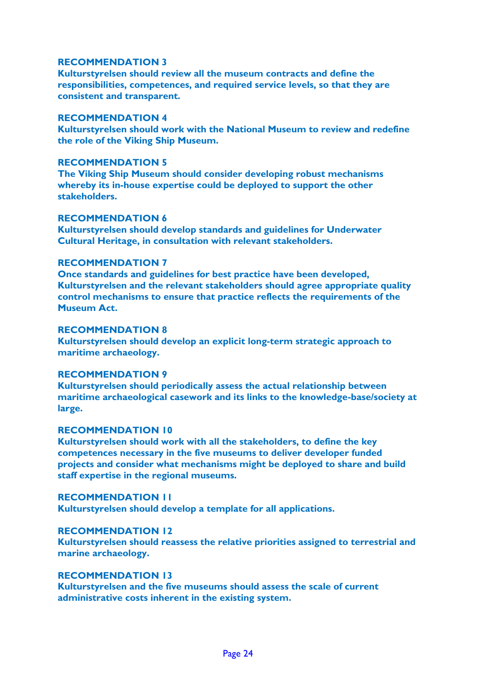**Kulturstyrelsen should review all the museum contracts and define the responsibilities, competences, and required service levels, so that they are consistent and transparent.**

## **RECOMMENDATION 4**

**Kulturstyrelsen should work with the National Museum to review and redefine the role of the Viking Ship Museum.**

#### **RECOMMENDATION 5**

**The Viking Ship Museum should consider developing robust mechanisms whereby its in-house expertise could be deployed to support the other stakeholders.**

#### **RECOMMENDATION 6**

**Kulturstyrelsen should develop standards and guidelines for Underwater Cultural Heritage, in consultation with relevant stakeholders.**

#### **RECOMMENDATION 7**

**Once standards and guidelines for best practice have been developed, Kulturstyrelsen and the relevant stakeholders should agree appropriate quality control mechanisms to ensure that practice reflects the requirements of the Museum Act.**

#### **RECOMMENDATION 8**

**Kulturstyrelsen should develop an explicit long-term strategic approach to maritime archaeology.**

#### **RECOMMENDATION 9**

**Kulturstyrelsen should periodically assess the actual relationship between maritime archaeological casework and its links to the knowledge-base/society at large.** 

#### **RECOMMENDATION 10**

**Kulturstyrelsen should work with all the stakeholders, to define the key competences necessary in the five museums to deliver developer funded projects and consider what mechanisms might be deployed to share and build staff expertise in the regional museums.** 

#### **RECOMMENDATION 11**

**Kulturstyrelsen should develop a template for all applications.**

## **RECOMMENDATION 12**

**Kulturstyrelsen should reassess the relative priorities assigned to terrestrial and marine archaeology.**

## **RECOMMENDATION 13**

**Kulturstyrelsen and the five museums should assess the scale of current administrative costs inherent in the existing system.**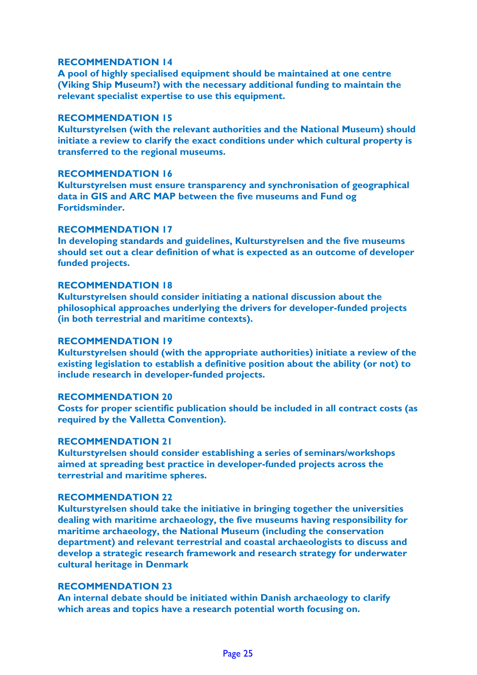**A pool of highly specialised equipment should be maintained at one centre (Viking Ship Museum?) with the necessary additional funding to maintain the relevant specialist expertise to use this equipment.**

#### **RECOMMENDATION 15**

**Kulturstyrelsen (with the relevant authorities and the National Museum) should initiate a review to clarify the exact conditions under which cultural property is transferred to the regional museums.**

#### **RECOMMENDATION 16**

**Kulturstyrelsen must ensure transparency and synchronisation of geographical data in GIS and ARC MAP between the five museums and Fund og Fortidsminder.**

#### **RECOMMENDATION 17**

**In developing standards and guidelines, Kulturstyrelsen and the five museums should set out a clear definition of what is expected as an outcome of developer funded projects.**

#### **RECOMMENDATION 18**

**Kulturstyrelsen should consider initiating a national discussion about the philosophical approaches underlying the drivers for developer-funded projects (in both terrestrial and maritime contexts).** 

#### **RECOMMENDATION 19**

**Kulturstyrelsen should (with the appropriate authorities) initiate a review of the existing legislation to establish a definitive position about the ability (or not) to include research in developer-funded projects.**

#### **RECOMMENDATION 20**

**Costs for proper scientific publication should be included in all contract costs (as required by the Valletta Convention).** 

#### **RECOMMENDATION 21**

**Kulturstyrelsen should consider establishing a series of seminars/workshops aimed at spreading best practice in developer-funded projects across the terrestrial and maritime spheres.**

#### **RECOMMENDATION 22**

**Kulturstyrelsen should take the initiative in bringing together the universities dealing with maritime archaeology, the five museums having responsibility for maritime archaeology, the National Museum (including the conservation department) and relevant terrestrial and coastal archaeologists to discuss and develop a strategic research framework and research strategy for underwater cultural heritage in Denmark**

#### **RECOMMENDATION 23**

**An internal debate should be initiated within Danish archaeology to clarify which areas and topics have a research potential worth focusing on.**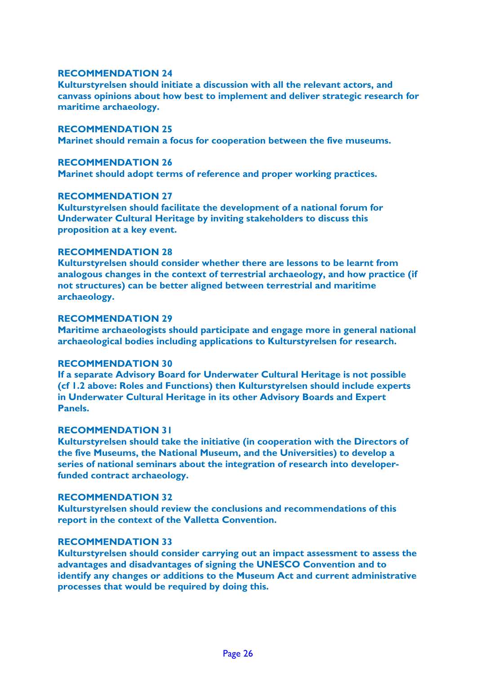**Kulturstyrelsen should initiate a discussion with all the relevant actors, and canvass opinions about how best to implement and deliver strategic research for maritime archaeology.**

#### **RECOMMENDATION 25**

**Marinet should remain a focus for cooperation between the five museums.** 

#### **RECOMMENDATION 26**

**Marinet should adopt terms of reference and proper working practices.**

#### **RECOMMENDATION 27**

**Kulturstyrelsen should facilitate the development of a national forum for Underwater Cultural Heritage by inviting stakeholders to discuss this proposition at a key event.** 

### **RECOMMENDATION 28**

**Kulturstyrelsen should consider whether there are lessons to be learnt from analogous changes in the context of terrestrial archaeology, and how practice (if not structures) can be better aligned between terrestrial and maritime archaeology.** 

## **RECOMMENDATION 29**

**Maritime archaeologists should participate and engage more in general national archaeological bodies including applications to Kulturstyrelsen for research.**

#### **RECOMMENDATION 30**

**If a separate Advisory Board for Underwater Cultural Heritage is not possible (cf 1.2 above: Roles and Functions) then Kulturstyrelsen should include experts in Underwater Cultural Heritage in its other Advisory Boards and Expert Panels.**

#### **RECOMMENDATION 31**

**Kulturstyrelsen should take the initiative (in cooperation with the Directors of the five Museums, the National Museum, and the Universities) to develop a series of national seminars about the integration of research into developerfunded contract archaeology.**

#### **RECOMMENDATION 32**

**Kulturstyrelsen should review the conclusions and recommendations of this report in the context of the Valletta Convention.**

#### **RECOMMENDATION 33**

**Kulturstyrelsen should consider carrying out an impact assessment to assess the advantages and disadvantages of signing the UNESCO Convention and to identify any changes or additions to the Museum Act and current administrative processes that would be required by doing this.**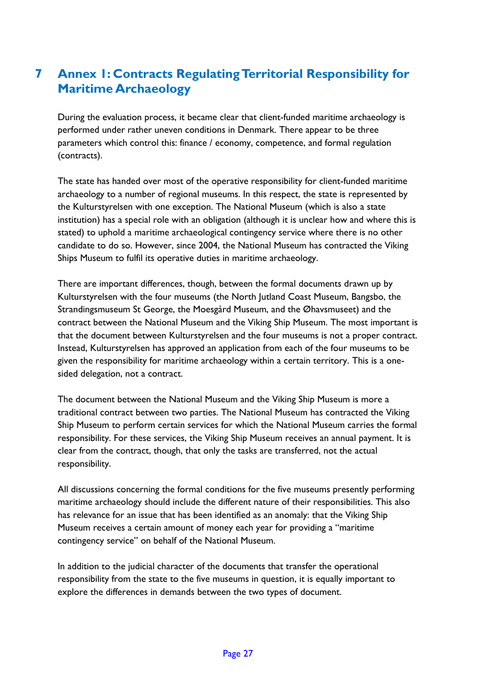# **7 Annex 1: Contracts Regulating Territorial Responsibility for Maritime Archaeology**

During the evaluation process, it became clear that client-funded maritime archaeology is performed under rather uneven conditions in Denmark. There appear to be three parameters which control this: finance / economy, competence, and formal regulation (contracts).

The state has handed over most of the operative responsibility for client-funded maritime archaeology to a number of regional museums. In this respect, the state is represented by the Kulturstyrelsen with one exception. The National Museum (which is also a state institution) has a special role with an obligation (although it is unclear how and where this is stated) to uphold a maritime archaeological contingency service where there is no other candidate to do so. However, since 2004, the National Museum has contracted the Viking Ships Museum to fulfil its operative duties in maritime archaeology.

There are important differences, though, between the formal documents drawn up by Kulturstyrelsen with the four museums (the North Jutland Coast Museum, Bangsbo, the Strandingsmuseum St George, the Moesgård Museum, and the Øhavsmuseet) and the contract between the National Museum and the Viking Ship Museum. The most important is that the document between Kulturstyrelsen and the four museums is not a proper contract. Instead, Kulturstyrelsen has approved an application from each of the four museums to be given the responsibility for maritime archaeology within a certain territory. This is a onesided delegation, not a contract.

The document between the National Museum and the Viking Ship Museum is more a traditional contract between two parties. The National Museum has contracted the Viking Ship Museum to perform certain services for which the National Museum carries the formal responsibility. For these services, the Viking Ship Museum receives an annual payment. It is clear from the contract, though, that only the tasks are transferred, not the actual responsibility.

All discussions concerning the formal conditions for the five museums presently performing maritime archaeology should include the different nature of their responsibilities. This also has relevance for an issue that has been identified as an anomaly: that the Viking Ship Museum receives a certain amount of money each year for providing a "maritime contingency service" on behalf of the National Museum.

In addition to the judicial character of the documents that transfer the operational responsibility from the state to the five museums in question, it is equally important to explore the differences in demands between the two types of document.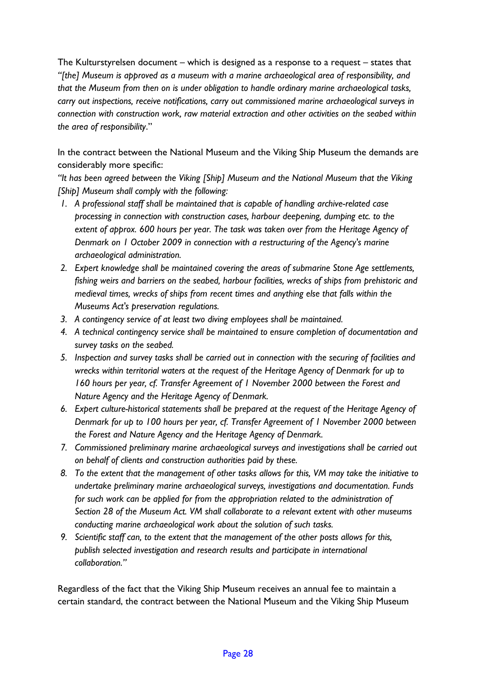The Kulturstyrelsen document – which is designed as a response to a request – states that *"[the] Museum is approved as a museum with a marine archaeological area of responsibility, and that the Museum from then on is under obligation to handle ordinary marine archaeological tasks, carry out inspections, receive notifications, carry out commissioned marine archaeological surveys in connection with construction work, raw material extraction and other activities on the seabed within the area of responsibility*."

In the contract between the National Museum and the Viking Ship Museum the demands are considerably more specific:

*"It has been agreed between the Viking [Ship] Museum and the National Museum that the Viking [Ship] Museum shall comply with the following:* 

- *1. A professional staff shall be maintained that is capable of handling archive-related case processing in connection with construction cases, harbour deepening, dumping etc. to the extent of approx. 600 hours per year. The task was taken over from the Heritage Agency of Denmark on 1 October 2009 in connection with a restructuring of the Agency's marine archaeological administration.*
- *2. Expert knowledge shall be maintained covering the areas of submarine Stone Age settlements, fishing weirs and barriers on the seabed, harbour facilities, wrecks of ships from prehistoric and medieval times, wrecks of ships from recent times and anything else that falls within the Museums Act's preservation regulations.*
- *3. A contingency service of at least two diving employees shall be maintained.*
- *4. A technical contingency service shall be maintained to ensure completion of documentation and survey tasks on the seabed.*
- *5. Inspection and survey tasks shall be carried out in connection with the securing of facilities and wrecks within territorial waters at the request of the Heritage Agency of Denmark for up to 160 hours per year, cf. Transfer Agreement of 1 November 2000 between the Forest and Nature Agency and the Heritage Agency of Denmark.*
- *6. Expert culture-historical statements shall be prepared at the request of the Heritage Agency of Denmark for up to 100 hours per year, cf. Transfer Agreement of 1 November 2000 between the Forest and Nature Agency and the Heritage Agency of Denmark.*
- *7. Commissioned preliminary marine archaeological surveys and investigations shall be carried out on behalf of clients and construction authorities paid by these.*
- *8. To the extent that the management of other tasks allows for this, VM may take the initiative to undertake preliminary marine archaeological surveys, investigations and documentation. Funds for such work can be applied for from the appropriation related to the administration of Section 28 of the Museum Act. VM shall collaborate to a relevant extent with other museums conducting marine archaeological work about the solution of such tasks.*
- *9. Scientific staff can, to the extent that the management of the other posts allows for this, publish selected investigation and research results and participate in international collaboration."*

Regardless of the fact that the Viking Ship Museum receives an annual fee to maintain a certain standard, the contract between the National Museum and the Viking Ship Museum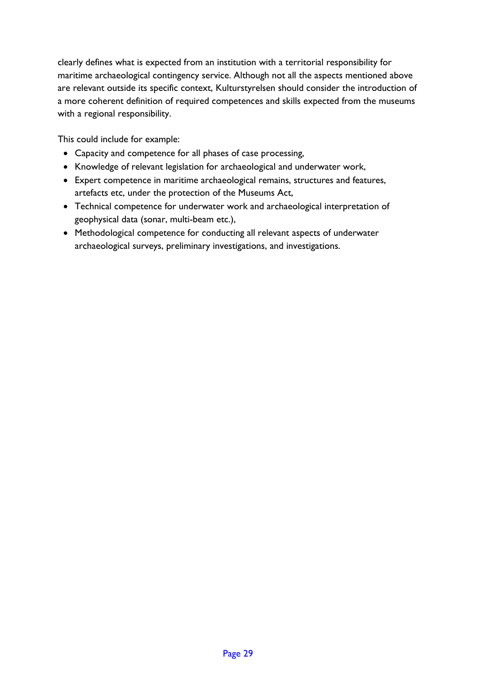clearly defines what is expected from an institution with a territorial responsibility for maritime archaeological contingency service. Although not all the aspects mentioned above are relevant outside its specific context, Kulturstyrelsen should consider the introduction of a more coherent definition of required competences and skills expected from the museums with a regional responsibility.

This could include for example:

- Capacity and competence for all phases of case processing,
- Knowledge of relevant legislation for archaeological and underwater work,
- Expert competence in maritime archaeological remains, structures and features, artefacts etc, under the protection of the Museums Act,
- Technical competence for underwater work and archaeological interpretation of geophysical data (sonar, multi-beam etc.),
- Methodological competence for conducting all relevant aspects of underwater archaeological surveys, preliminary investigations, and investigations.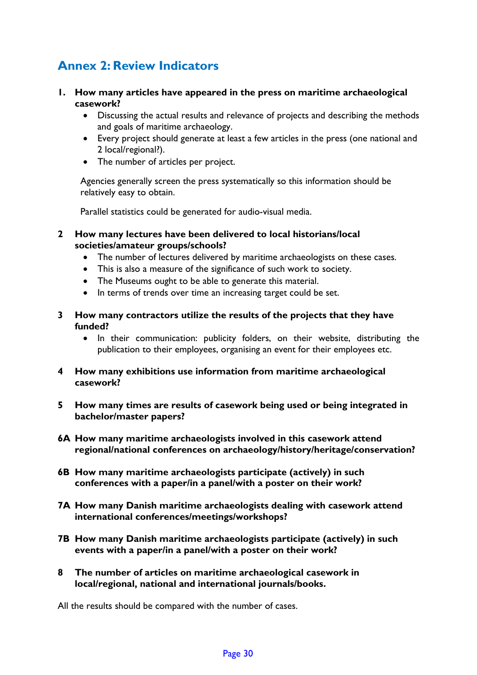# **Annex 2: Review Indicators**

- **1. How many articles have appeared in the press on maritime archaeological casework?**
	- Discussing the actual results and relevance of projects and describing the methods and goals of maritime archaeology.
	- Every project should generate at least a few articles in the press (one national and 2 local/regional?).
	- The number of articles per project.

Agencies generally screen the press systematically so this information should be relatively easy to obtain.

Parallel statistics could be generated for audio-visual media.

- **2 How many lectures have been delivered to local historians/local societies/amateur groups/schools?**
	- The number of lectures delivered by maritime archaeologists on these cases.
	- This is also a measure of the significance of such work to society.
	- The Museums ought to be able to generate this material.
	- In terms of trends over time an increasing target could be set.
- **3 How many contractors utilize the results of the projects that they have funded?**
	- In their communication: publicity folders, on their website, distributing the publication to their employees, organising an event for their employees etc.
- **4 How many exhibitions use information from maritime archaeological casework?**
- **5 How many times are results of casework being used or being integrated in bachelor/master papers?**
- **6A How many maritime archaeologists involved in this casework attend regional/national conferences on archaeology/history/heritage/conservation?**
- **6B How many maritime archaeologists participate (actively) in such conferences with a paper/in a panel/with a poster on their work?**
- **7A How many Danish maritime archaeologists dealing with casework attend international conferences/meetings/workshops?**
- **7B How many Danish maritime archaeologists participate (actively) in such events with a paper/in a panel/with a poster on their work?**
- **8 The number of articles on maritime archaeological casework in local/regional, national and international journals/books.**

All the results should be compared with the number of cases.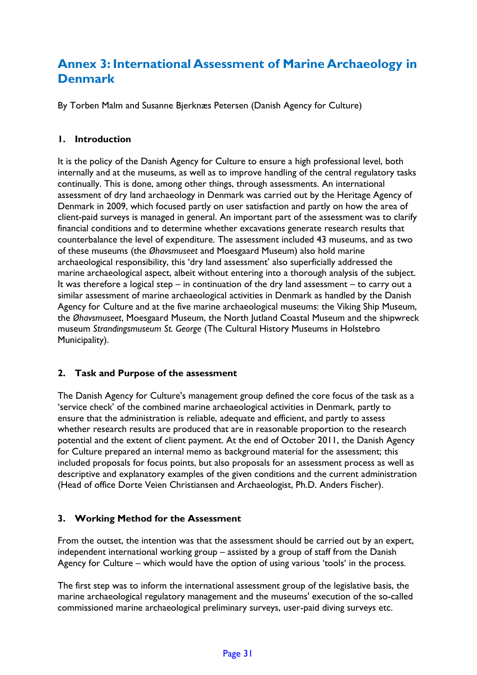# **Annex 3: International Assessment of Marine Archaeology in Denmark**

By Torben Malm and Susanne Bjerknæs Petersen (Danish Agency for Culture)

## **1. Introduction**

It is the policy of the Danish Agency for Culture to ensure a high professional level, both internally and at the museums, as well as to improve handling of the central regulatory tasks continually. This is done, among other things, through assessments. An international assessment of dry land archaeology in Denmark was carried out by the Heritage Agency of Denmark in 2009, which focused partly on user satisfaction and partly on how the area of client-paid surveys is managed in general. An important part of the assessment was to clarify financial conditions and to determine whether excavations generate research results that counterbalance the level of expenditure. The assessment included 43 museums, and as two of these museums (the *Øhavsmuseet* and Moesgaard Museum) also hold marine archaeological responsibility, this 'dry land assessment' also superficially addressed the marine archaeological aspect, albeit without entering into a thorough analysis of the subject. It was therefore a logical step – in continuation of the dry land assessment – to carry out a similar assessment of marine archaeological activities in Denmark as handled by the Danish Agency for Culture and at the five marine archaeological museums: the Viking Ship Museum, the *Øhavsmuseet*, Moesgaard Museum, the North Jutland Coastal Museum and the shipwreck museum *Strandingsmuseum St. George* (The Cultural History Museums in Holstebro Municipality).

## **2. Task and Purpose of the assessment**

The Danish Agency for Culture's management group defined the core focus of the task as a 'service check' of the combined marine archaeological activities in Denmark, partly to ensure that the administration is reliable, adequate and efficient, and partly to assess whether research results are produced that are in reasonable proportion to the research potential and the extent of client payment. At the end of October 2011, the Danish Agency for Culture prepared an internal memo as background material for the assessment; this included proposals for focus points, but also proposals for an assessment process as well as descriptive and explanatory examples of the given conditions and the current administration (Head of office Dorte Veien Christiansen and Archaeologist, Ph.D. Anders Fischer).

## **3. Working Method for the Assessment**

From the outset, the intention was that the assessment should be carried out by an expert, independent international working group – assisted by a group of staff from the Danish Agency for Culture – which would have the option of using various 'tools' in the process.

The first step was to inform the international assessment group of the legislative basis, the marine archaeological regulatory management and the museums' execution of the so-called commissioned marine archaeological preliminary surveys, user-paid diving surveys etc.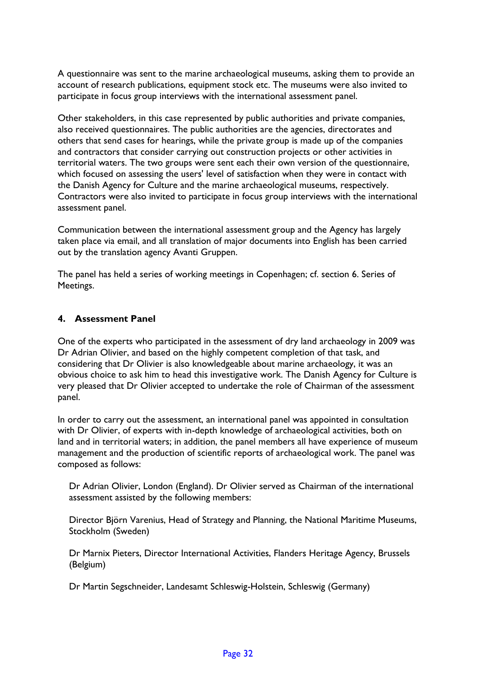A questionnaire was sent to the marine archaeological museums, asking them to provide an account of research publications, equipment stock etc. The museums were also invited to participate in focus group interviews with the international assessment panel.

Other stakeholders, in this case represented by public authorities and private companies, also received questionnaires. The public authorities are the agencies, directorates and others that send cases for hearings, while the private group is made up of the companies and contractors that consider carrying out construction projects or other activities in territorial waters. The two groups were sent each their own version of the questionnaire, which focused on assessing the users' level of satisfaction when they were in contact with the Danish Agency for Culture and the marine archaeological museums, respectively. Contractors were also invited to participate in focus group interviews with the international assessment panel.

Communication between the international assessment group and the Agency has largely taken place via email, and all translation of major documents into English has been carried out by the translation agency Avanti Gruppen.

The panel has held a series of working meetings in Copenhagen; cf. section 6. Series of Meetings.

## **4. Assessment Panel**

One of the experts who participated in the assessment of dry land archaeology in 2009 was Dr Adrian Olivier, and based on the highly competent completion of that task, and considering that Dr Olivier is also knowledgeable about marine archaeology, it was an obvious choice to ask him to head this investigative work. The Danish Agency for Culture is very pleased that Dr Olivier accepted to undertake the role of Chairman of the assessment panel.

In order to carry out the assessment, an international panel was appointed in consultation with Dr Olivier, of experts with in-depth knowledge of archaeological activities, both on land and in territorial waters; in addition, the panel members all have experience of museum management and the production of scientific reports of archaeological work. The panel was composed as follows:

Dr Adrian Olivier, London (England). Dr Olivier served as Chairman of the international assessment assisted by the following members:

Director Björn Varenius, Head of Strategy and Planning, the National Maritime Museums, Stockholm (Sweden)

Dr Marnix Pieters, Director International Activities, Flanders Heritage Agency, Brussels (Belgium)

Dr Martin Segschneider, Landesamt Schleswig-Holstein, Schleswig (Germany)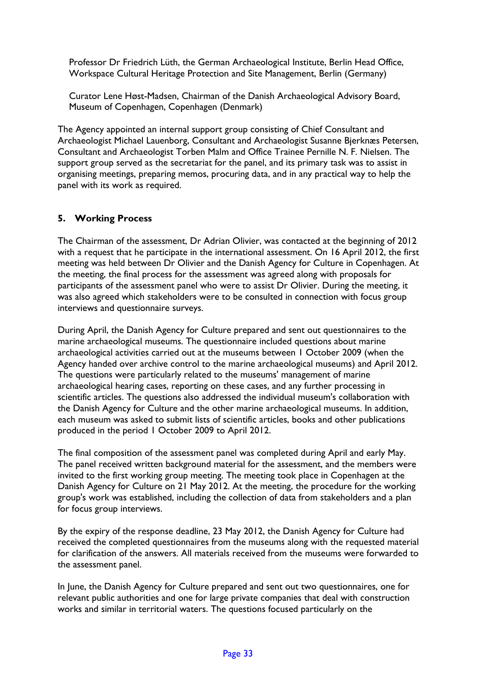Professor Dr Friedrich Lüth, the German Archaeological Institute, Berlin Head Office, Workspace Cultural Heritage Protection and Site Management, Berlin (Germany)

Curator Lene Høst-Madsen, Chairman of the Danish Archaeological Advisory Board, Museum of Copenhagen, Copenhagen (Denmark)

The Agency appointed an internal support group consisting of Chief Consultant and Archaeologist Michael Lauenborg, Consultant and Archaeologist Susanne Bjerknæs Petersen, Consultant and Archaeologist Torben Malm and Office Trainee Pernille N. F. Nielsen. The support group served as the secretariat for the panel, and its primary task was to assist in organising meetings, preparing memos, procuring data, and in any practical way to help the panel with its work as required.

## **5. Working Process**

The Chairman of the assessment, Dr Adrian Olivier, was contacted at the beginning of 2012 with a request that he participate in the international assessment. On 16 April 2012, the first meeting was held between Dr Olivier and the Danish Agency for Culture in Copenhagen. At the meeting, the final process for the assessment was agreed along with proposals for participants of the assessment panel who were to assist Dr Olivier. During the meeting, it was also agreed which stakeholders were to be consulted in connection with focus group interviews and questionnaire surveys.

During April, the Danish Agency for Culture prepared and sent out questionnaires to the marine archaeological museums. The questionnaire included questions about marine archaeological activities carried out at the museums between 1 October 2009 (when the Agency handed over archive control to the marine archaeological museums) and April 2012. The questions were particularly related to the museums' management of marine archaeological hearing cases, reporting on these cases, and any further processing in scientific articles. The questions also addressed the individual museum's collaboration with the Danish Agency for Culture and the other marine archaeological museums. In addition, each museum was asked to submit lists of scientific articles, books and other publications produced in the period 1 October 2009 to April 2012.

The final composition of the assessment panel was completed during April and early May. The panel received written background material for the assessment, and the members were invited to the first working group meeting. The meeting took place in Copenhagen at the Danish Agency for Culture on 21 May 2012. At the meeting, the procedure for the working group's work was established, including the collection of data from stakeholders and a plan for focus group interviews.

By the expiry of the response deadline, 23 May 2012, the Danish Agency for Culture had received the completed questionnaires from the museums along with the requested material for clarification of the answers. All materials received from the museums were forwarded to the assessment panel.

In June, the Danish Agency for Culture prepared and sent out two questionnaires, one for relevant public authorities and one for large private companies that deal with construction works and similar in territorial waters. The questions focused particularly on the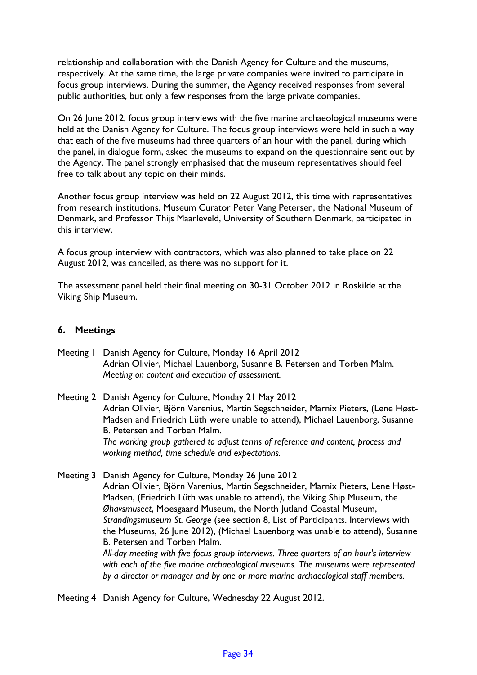relationship and collaboration with the Danish Agency for Culture and the museums, respectively. At the same time, the large private companies were invited to participate in focus group interviews. During the summer, the Agency received responses from several public authorities, but only a few responses from the large private companies.

On 26 June 2012, focus group interviews with the five marine archaeological museums were held at the Danish Agency for Culture. The focus group interviews were held in such a way that each of the five museums had three quarters of an hour with the panel, during which the panel, in dialogue form, asked the museums to expand on the questionnaire sent out by the Agency. The panel strongly emphasised that the museum representatives should feel free to talk about any topic on their minds.

Another focus group interview was held on 22 August 2012, this time with representatives from research institutions. Museum Curator Peter Vang Petersen, the National Museum of Denmark, and Professor Thijs Maarleveld, University of Southern Denmark, participated in this interview.

A focus group interview with contractors, which was also planned to take place on 22 August 2012, was cancelled, as there was no support for it.

The assessment panel held their final meeting on 30-31 October 2012 in Roskilde at the Viking Ship Museum.

#### **6. Meetings**

- Meeting 1 Danish Agency for Culture, Monday 16 April 2012 Adrian Olivier, Michael Lauenborg, Susanne B. Petersen and Torben Malm. *Meeting on content and execution of assessment.*
- Meeting 2 Danish Agency for Culture, Monday 21 May 2012 Adrian Olivier, Björn Varenius, Martin Segschneider, Marnix Pieters, (Lene Høst-Madsen and Friedrich Lüth were unable to attend), Michael Lauenborg, Susanne B. Petersen and Torben Malm. *The working group gathered to adjust terms of reference and content, process and working method, time schedule and expectations.*
- Meeting 3 Danish Agency for Culture, Monday 26 June 2012 Adrian Olivier, Björn Varenius, Martin Segschneider, Marnix Pieters, Lene Høst-Madsen, (Friedrich Lüth was unable to attend), the Viking Ship Museum, the *Øhavsmuseet*, Moesgaard Museum, the North Jutland Coastal Museum, *Strandingsmuseum St. George* (see section 8, List of Participants. Interviews with the Museums, 26 June 2012), (Michael Lauenborg was unable to attend), Susanne B. Petersen and Torben Malm. *All-day meeting with five focus group interviews. Three quarters of an hour's interview with each of the five marine archaeological museums. The museums were represented by a director or manager and by one or more marine archaeological staff members.*

Meeting 4 Danish Agency for Culture, Wednesday 22 August 2012.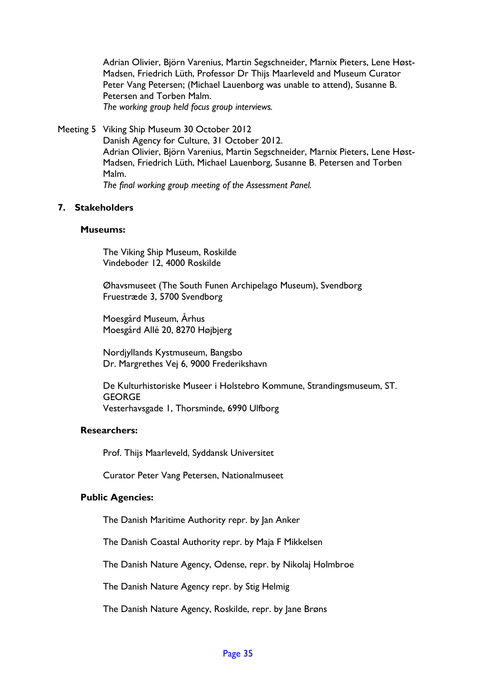Adrian Olivier, Björn Varenius, Martin Segschneider, Marnix Pieters, Lene Høst-Madsen, Friedrich Lüth, Professor Dr Thijs Maarleveld and Museum Curator Peter Vang Petersen; (Michael Lauenborg was unable to attend), Susanne B. Petersen and Torben Malm. *The working group held focus group interviews.* 

Meeting 5 Viking Ship Museum 30 October 2012

Danish Agency for Culture, 31 October 2012. Adrian Olivier, Björn Varenius, Martin Segschneider, Marnix Pieters, Lene Høst-Madsen, Friedrich Lüth, Michael Lauenborg, Susanne B. Petersen and Torben Malm. *The final working group meeting of the Assessment Panel.*

#### **7. Stakeholders**

#### **Museums:**

The Viking Ship Museum, Roskilde Vindeboder 12, 4000 Roskilde

Øhavsmuseet (The South Funen Archipelago Museum), Svendborg Fruestræde 3, 5700 Svendborg

Moesgård Museum, Århus Moesgård Allé 20, 8270 Højbjerg

Nordjyllands Kystmuseum, Bangsbo Dr. Margrethes Vej 6, 9000 Frederikshavn

De Kulturhistoriske Museer i Holstebro Kommune, Strandingsmuseum, ST. **GEORGE** Vesterhavsgade 1, Thorsminde, 6990 Ulfborg

#### **Researchers:**

Prof. Thijs Maarleveld, Syddansk Universitet

Curator Peter Vang Petersen, Nationalmuseet

#### **Public Agencies:**

The Danish Maritime Authority repr. by Jan Anker

The Danish Coastal Authority repr. by Maja F Mikkelsen

The Danish Nature Agency, Odense, repr. by Nikolaj Holmbroe

The Danish Nature Agency repr. by Stig Helmig

The Danish Nature Agency, Roskilde, repr. by Jane Brøns